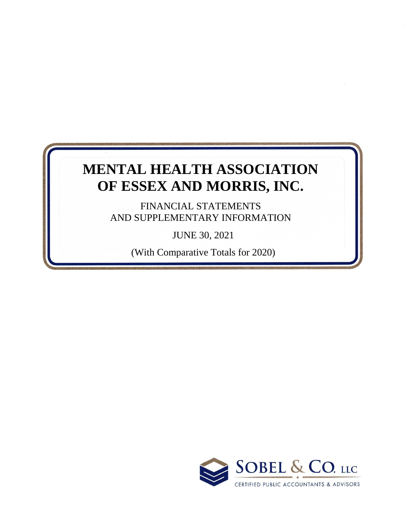# **MENTAL HEALTH ASSOCIATION OF ESSEX AND MORRIS, INC.**

FINANCIAL STATEMENTS AND SUPPLEMENTARY INFORMATION

JUNE 30, 2021

(With Comparative Totals for 2020)

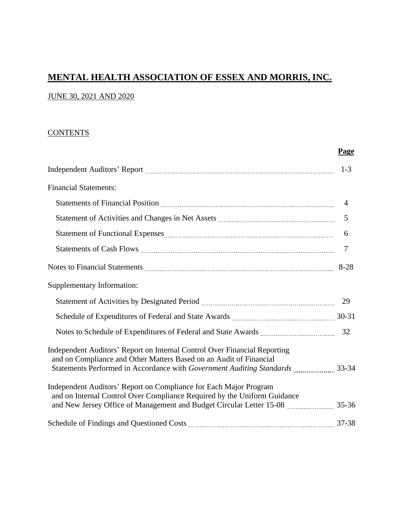# **MENTAL HEALTH ASSOCIATION OF ESSEX AND MORRIS, INC.**

**Page**

# JUNE 30, 2021 AND 2020

# **CONTENTS**

|                                                                                                                                                                                                                                | $1 - 3$        |
|--------------------------------------------------------------------------------------------------------------------------------------------------------------------------------------------------------------------------------|----------------|
| <b>Financial Statements:</b>                                                                                                                                                                                                   |                |
|                                                                                                                                                                                                                                | $\overline{4}$ |
| Statement of Activities and Changes in Net Assets [11] Martin Matter and Changes in Net Assets [11] Martin Matter and Changes in Net Assets [11] Martin Matter and Changes in Net Assets [11] Martin Matter and Matter and Mat | 5              |
|                                                                                                                                                                                                                                | 6              |
|                                                                                                                                                                                                                                | 7              |
|                                                                                                                                                                                                                                | $8 - 28$       |
| Supplementary Information:                                                                                                                                                                                                     |                |
|                                                                                                                                                                                                                                | 29             |
|                                                                                                                                                                                                                                |                |
|                                                                                                                                                                                                                                | 32             |
| Independent Auditors' Report on Internal Control Over Financial Reporting<br>and on Compliance and Other Matters Based on an Audit of Financial<br>Statements Performed in Accordance with Government Auditing Standards 23-34 |                |
| Independent Auditors' Report on Compliance for Each Major Program<br>and on Internal Control Over Compliance Required by the Uniform Guidance                                                                                  |                |
|                                                                                                                                                                                                                                |                |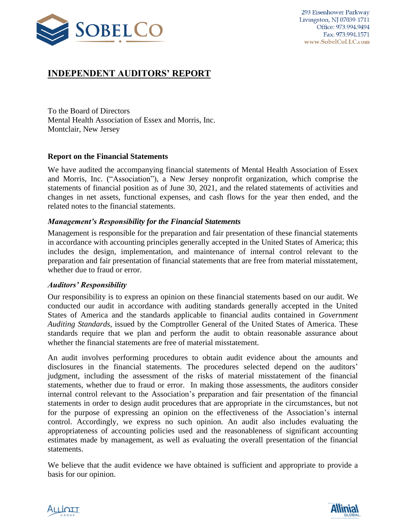

293 Eisenhower Parkway Livingston, NJ 07039-1711 Office: 973.994.9494 Fax: 973.994.1571 www.SobelCoLLC.com

# **INDEPENDENT AUDITORS' REPORT**

To the Board of Directors Mental Health Association of Essex and Morris, Inc. Montclair, New Jersey

### **Report on the Financial Statements**

We have audited the accompanying financial statements of Mental Health Association of Essex and Morris, Inc. ("Association"), a New Jersey nonprofit organization, which comprise the statements of financial position as of June 30, 2021, and the related statements of activities and changes in net assets, functional expenses, and cash flows for the year then ended, and the related notes to the financial statements.

#### *Management's Responsibility for the Financial Statements*

Management is responsible for the preparation and fair presentation of these financial statements in accordance with accounting principles generally accepted in the United States of America; this includes the design, implementation, and maintenance of internal control relevant to the preparation and fair presentation of financial statements that are free from material misstatement, whether due to fraud or error.

#### *Auditors' Responsibility*

Our responsibility is to express an opinion on these financial statements based on our audit. We conducted our audit in accordance with auditing standards generally accepted in the United States of America and the standards applicable to financial audits contained in *Government Auditing Standards*, issued by the Comptroller General of the United States of America. These standards require that we plan and perform the audit to obtain reasonable assurance about whether the financial statements are free of material misstatement.

An audit involves performing procedures to obtain audit evidence about the amounts and disclosures in the financial statements. The procedures selected depend on the auditors' judgment, including the assessment of the risks of material misstatement of the financial statements, whether due to fraud or error. In making those assessments, the auditors consider internal control relevant to the Association's preparation and fair presentation of the financial statements in order to design audit procedures that are appropriate in the circumstances, but not for the purpose of expressing an opinion on the effectiveness of the Association's internal control. Accordingly, we express no such opinion. An audit also includes evaluating the appropriateness of accounting policies used and the reasonableness of significant accounting estimates made by management, as well as evaluating the overall presentation of the financial statements.

We believe that the audit evidence we have obtained is sufficient and appropriate to provide a basis for our opinion.



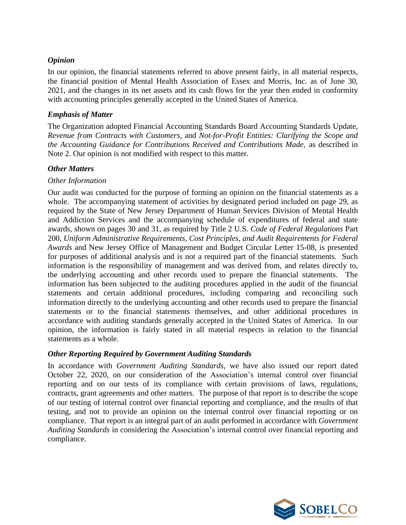### *Opinion*

In our opinion, the financial statements referred to above present fairly, in all material respects, the financial position of Mental Health Association of Essex and Morris, Inc. as of June 30, 2021, and the changes in its net assets and its cash flows for the year then ended in conformity with accounting principles generally accepted in the United States of America.

### *Emphasis of Matter*

The Organization adopted Financial Accounting Standards Board Accounting Standards Update, *Revenue from Contracts with Customers*, and *Not-for-Profit Entities: Clarifying the Scope and the Accounting Guidance for Contributions Received and Contributions Made,* as described in Note 2. Our opinion is not modified with respect to this matter.

### *Other Matters*

### *Other Information*

Our audit was conducted for the purpose of forming an opinion on the financial statements as a whole. The accompanying statement of activities by designated period included on page 29, as required by the State of New Jersey Department of Human Services Division of Mental Health and Addiction Services and the accompanying schedule of expenditures of federal and state awards, shown on pages 30 and 31, as required by Title 2 U.S. *Code of Federal Regulations* Part 200, *Uniform Administrative Requirements, Cost Principles, and Audit Requirements for Federal Awards* and New Jersey Office of Management and Budget Circular Letter 15-08, is presented for purposes of additional analysis and is not a required part of the financial statements. Such information is the responsibility of management and was derived from, and relates directly to, the underlying accounting and other records used to prepare the financial statements. The information has been subjected to the auditing procedures applied in the audit of the financial statements and certain additional procedures, including comparing and reconciling such information directly to the underlying accounting and other records used to prepare the financial statements or to the financial statements themselves, and other additional procedures in accordance with auditing standards generally accepted in the United States of America. In our opinion, the information is fairly stated in all material respects in relation to the financial statements as a whole.

# *Other Reporting Required by Government Auditing Standards*

In accordance with *Government Auditing Standards*, we have also issued our report dated October 22, 2020, on our consideration of the Association's internal control over financial reporting and on our tests of its compliance with certain provisions of laws, regulations, contracts, grant agreements and other matters. The purpose of that report is to describe the scope of our testing of internal control over financial reporting and compliance, and the results of that testing, and not to provide an opinion on the internal control over financial reporting or on compliance. That report is an integral part of an audit performed in accordance with *Government Auditing Standards* in considering the Association's internal control over financial reporting and compliance.

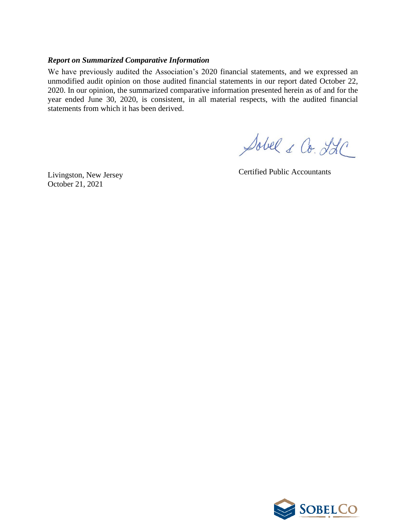#### *Report on Summarized Comparative Information*

We have previously audited the Association's 2020 financial statements, and we expressed an unmodified audit opinion on those audited financial statements in our report dated October 22, 2020. In our opinion, the summarized comparative information presented herein as of and for the year ended June 30, 2020, is consistent, in all material respects, with the audited financial statements from which it has been derived.

Sobel & Co. ILC

October 21, 2021

Certified Public Accountants Livingston, New Jersey

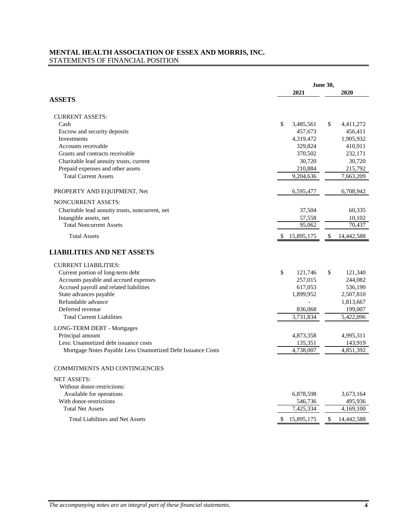# **MENTAL HEALTH ASSOCIATION OF ESSEX AND MORRIS, INC.** STATEMENTS OF FINANCIAL POSITION

|                                                             | <b>June 30,</b> |            |    |            |
|-------------------------------------------------------------|-----------------|------------|----|------------|
|                                                             |                 | 2021       |    | 2020       |
| <b>ASSETS</b>                                               |                 |            |    |            |
| <b>CURRENT ASSETS:</b>                                      |                 |            |    |            |
| Cash                                                        | \$              | 3,485,561  | \$ | 4,411,272  |
| Escrow and security deposits                                |                 | 457,673    |    | 456,411    |
| Investments                                                 |                 | 4,319,472  |    | 1,905,932  |
| Accounts receivable                                         |                 | 329,824    |    | 410,911    |
| Grants and contracts receivable                             |                 | 370,502    |    | 232,171    |
| Charitable lead annuity trusts, current                     |                 | 30,720     |    | 30,720     |
| Prepaid expenses and other assets                           |                 | 210,884    |    | 215,792    |
| <b>Total Current Assets</b>                                 |                 | 9,204,636  |    | 7,663,209  |
| PROPERTY AND EQUIPMENT, Net                                 |                 | 6,595,477  |    | 6,708,942  |
| <b>NONCURRENT ASSETS:</b>                                   |                 |            |    |            |
| Charitable lead annuity trusts, noncurrent, net             |                 | 37,504     |    | 60,335     |
| Intangible assets, net                                      |                 | 57,558     |    | 10,102     |
| <b>Total Noncurrent Assets</b>                              |                 | 95,062     |    | 70,437     |
| <b>Total Assets</b>                                         | \$              | 15,895,175 | \$ | 14,442,588 |
| <b>LIABILITIES AND NET ASSETS</b>                           |                 |            |    |            |
| <b>CURRENT LIABILITIES:</b>                                 |                 |            |    |            |
| Current portion of long-term debt                           | \$              | 121,746    | \$ | 121,340    |
| Accounts payable and accrued expenses                       |                 | 257,015    |    | 244,082    |
| Accrued payroll and related liabilities                     |                 | 617,053    |    | 536,190    |
| State advances payable                                      |                 | 1,899,952  |    | 2,507,810  |
| Refundable advance                                          |                 |            |    | 1,813,667  |
| Deferred revenue                                            |                 | 836,068    |    | 199,007    |
| <b>Total Current Liabilities</b>                            |                 | 3,731,834  |    | 5,422,096  |
| LONG-TERM DEBT - Mortgages                                  |                 |            |    |            |
| Principal amount                                            |                 | 4,873,358  |    | 4,995,311  |
| Less: Unamortized debt issuance costs                       |                 | 135,351    |    | 143,919    |
| Mortgage Notes Payable Less Unamortized Debt Issuance Costs |                 | 4,738,007  |    | 4,851,392  |
| <b>COMMITMENTS AND CONTINGENCIES</b>                        |                 |            |    |            |
| <b>NET ASSETS:</b>                                          |                 |            |    |            |
| Without donor-restrictions:                                 |                 |            |    |            |
| Available for operations                                    |                 | 6,878,598  |    | 3,673,164  |
| With donor-restrictions                                     |                 | 546,736    |    | 495,936    |
| <b>Total Net Assets</b>                                     |                 | 7,425,334  |    | 4,169,100  |
| <b>Total Liabilities and Net Assets</b>                     | S               | 15,895,175 | \$ | 14,442,588 |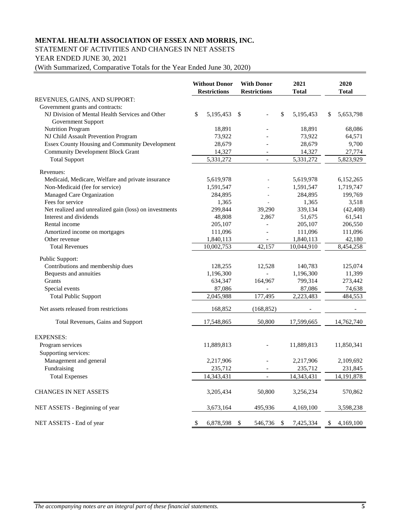#### **MENTAL HEALTH ASSOCIATION OF ESSEX AND MORRIS, INC.**

STATEMENT OF ACTIVITIES AND CHANGES IN NET ASSETS

YEAR ENDED JUNE 30, 2021

(With Summarized, Comparative Totals for the Year Ended June 30, 2020)

|                                                                              | <b>Without Donor</b><br><b>Restrictions</b> | <b>With Donor</b><br><b>Restrictions</b> |     | 2021<br><b>Total</b> | 2020<br><b>Total</b> |
|------------------------------------------------------------------------------|---------------------------------------------|------------------------------------------|-----|----------------------|----------------------|
| REVENUES, GAINS, AND SUPPORT:                                                |                                             |                                          |     |                      |                      |
| Government grants and contracts:                                             |                                             |                                          |     |                      |                      |
| NJ Division of Mental Health Services and Other<br><b>Government Support</b> | \$<br>5,195,453                             | -\$                                      | \$  | 5,195,453            | \$<br>5,653,798      |
| Nutrition Program                                                            | 18,891                                      |                                          |     | 18,891               | 68,086               |
| NJ Child Assault Prevention Program                                          | 73,922                                      |                                          |     | 73,922               | 64,571               |
| <b>Essex County Housing and Community Development</b>                        | 28,679                                      |                                          |     | 28,679               | 9,700                |
| <b>Community Development Block Grant</b>                                     | 14,327                                      |                                          |     | 14,327               | 27,774               |
| <b>Total Support</b>                                                         | 5,331,272                                   | $\overline{a}$                           |     | 5,331,272            | 5,823,929            |
| Revenues:                                                                    |                                             |                                          |     |                      |                      |
| Medicaid, Medicare, Welfare and private insurance                            | 5,619,978                                   |                                          |     | 5,619,978            | 6,152,265            |
| Non-Medicaid (fee for service)                                               | 1,591,547                                   |                                          |     | 1,591,547            | 1,719,747            |
| Managed Care Organization                                                    | 284,895                                     |                                          |     | 284,895              | 199,769              |
| Fees for service                                                             | 1,365                                       |                                          |     | 1,365                | 3,518                |
| Net realized and unrealized gain (loss) on investments                       | 299,844                                     | 39,290                                   |     | 339,134              | (42, 408)            |
| Interest and dividends                                                       | 48,808                                      | 2,867                                    |     | 51,675               | 61,541               |
| Rental income                                                                | 205,107                                     |                                          |     | 205,107              | 206,550              |
| Amortized income on mortgages                                                | 111,096                                     |                                          |     | 111,096              | 111,096              |
| Other revenue                                                                | 1,840,113                                   |                                          |     | 1,840,113            | 42,180               |
| <b>Total Revenues</b>                                                        | 10,002,753                                  | 42,157                                   |     | 10,044,910           | 8,454,258            |
| Public Support:                                                              |                                             |                                          |     |                      |                      |
| Contributions and membership dues                                            | 128,255                                     | 12,528                                   |     | 140,783              | 125,074              |
| Bequests and annuities                                                       | 1,196,300                                   |                                          |     | 1,196,300            | 11,399               |
| Grants                                                                       | 634,347                                     | 164,967                                  |     | 799,314              | 273,442              |
| Special events                                                               | 87,086                                      |                                          |     | 87,086               | 74,638               |
| <b>Total Public Support</b>                                                  | 2,045,988                                   | 177,495                                  |     | 2,223,483            | 484,553              |
| Net assets released from restrictions                                        | 168,852                                     | (168, 852)                               |     |                      |                      |
| Total Revenues, Gains and Support                                            | 17,548,865                                  | 50,800                                   |     | 17,599,665           | 14,762,740           |
| <b>EXPENSES:</b>                                                             |                                             |                                          |     |                      |                      |
| Program services                                                             | 11,889,813                                  |                                          |     | 11,889,813           | 11,850,341           |
| Supporting services:                                                         |                                             |                                          |     |                      |                      |
| Management and general                                                       | 2,217,906                                   |                                          |     | 2,217,906            | 2,109,692            |
| Fundraising                                                                  | 235,712                                     | $\overline{\phantom{a}}$                 |     | 235,712              | 231,845              |
| <b>Total Expenses</b>                                                        | 14,343,431                                  |                                          |     | 14,343,431           | 14,191,878           |
| CHANGES IN NET ASSETS                                                        | 3,205,434                                   | 50,800                                   |     | 3,256,234            | 570,862              |
| NET ASSETS - Beginning of year                                               | 3,673,164                                   | 495,936                                  |     | 4,169,100            | 3,598,238            |
| NET ASSETS - End of year                                                     | \$<br>6,878,598 \$                          | 546,736                                  | -\$ | 7,425,334            | \$<br>4,169,100      |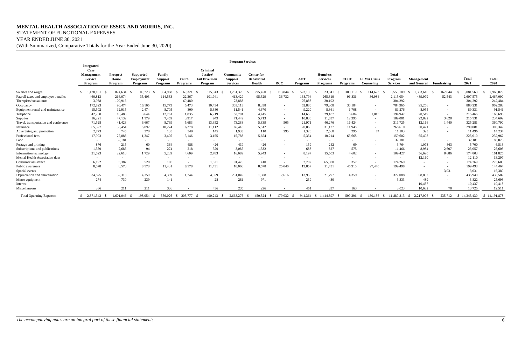# **MENTAL HEALTH ASSOCIATION OF ESSEX AND MORRIS, INC.**

# STATEMENT OF FUNCTIONAL EXPENSES

YEAR ENDED JUNE 30, 2021

(With Summarized, Comparative Totals for the Year Ended June 30, 2020)

|                                       |                                                                      |                                            |                                                          |                                             |                          |                                                                 | <b>Program Services</b>                        |                                                  |            |                          |                                                |                                |                                  |                                     |                           |                    |                      |                      |
|---------------------------------------|----------------------------------------------------------------------|--------------------------------------------|----------------------------------------------------------|---------------------------------------------|--------------------------|-----------------------------------------------------------------|------------------------------------------------|--------------------------------------------------|------------|--------------------------|------------------------------------------------|--------------------------------|----------------------------------|-------------------------------------|---------------------------|--------------------|----------------------|----------------------|
|                                       | <b>Integrated</b><br>Case<br>Management<br><b>Service</b><br>Program | <b>Prospect</b><br><b>House</b><br>Program | <b>Supported</b><br><b>Employment</b><br><b>Programs</b> | Family<br><b>Support</b><br><b>Programs</b> | Youth<br><b>Programs</b> | <b>Criminal</b><br>Justice/<br><b>Jail Diversion</b><br>Program | Community<br><b>Support</b><br><b>Services</b> | <b>Center for</b><br><b>Behavioral</b><br>Health | <b>RCC</b> | AOT<br><b>Programs</b>   | <b>Homeless</b><br><b>Services</b><br>Programs | <b>CECE</b><br><b>Programs</b> | <b>FEMA Crisis</b><br>Counseling | Total<br>Program<br><b>Services</b> | Management<br>and General | <b>Fundraising</b> | <b>Total</b><br>2021 | <b>Total</b><br>2020 |
| Salaries and wages                    | 1,428,181                                                            | 824,634                                    | 109,723                                                  | 354,968                                     | 69,321                   | 315,943                                                         | 1,281,326                                      | 295,450                                          | 113,844    | 523,136                  | 823.841                                        | 300.119                        | 114,623                          | 6.555.109                           | 1.363.610                 | 162,844            | 8,081,563            | 7,968,079            |
| Payroll taxes and employee benefits   | 460,813                                                              | 266,074                                    | 35,403                                                   | 114,533                                     | 22,367                   | 101,941                                                         | 413,429                                        | 95,329                                           | 36,732     | 168,794                  | 265,819                                        | 96,836                         | 36,984                           | 2,115,054                           | 439,979                   | 52,543             | 2,607,575            | 2,467,090            |
| Therapists/consultants                | 3.938                                                                | 109,916                                    | $\sim$ $ \sim$                                           | $\sim$                                      | 69,480                   | $\sim$                                                          | 23,883                                         | $\sim$                                           | $\sim$     | 76,883                   | 20,192                                         | $\sim$                         |                                  | 304,292                             | $\sim$                    | $\sim$             | 304,292              | 247,484              |
| Occupancy                             | 172,823                                                              | 90,474                                     | 16,165                                                   | 15,773                                      | 5,473                    | 10,434                                                          | 303,113                                        | 8,338                                            |            | 52,880                   | 79,308                                         | 30,184                         | $\sim$                           | 784,965                             | 95,266                    | $\sim$             | 880,231              | 902,283              |
| Equipment rental and maintenance      | 15,502                                                               | 12,915                                     | 2,474                                                    | 8,705                                       | 300                      | 5,380                                                           | 11,541                                         | 4,670                                            | $\sim$     | 9,220                    | 8,861                                          | 1,708                          | $\sim$                           | 81,276                              | 8,055                     | $\sim$             | 89,331               | 91,541               |
| Telephone                             | 42,230                                                               | 18,486                                     | 3,644                                                    | 12,761                                      | 1,835                    | 6,219                                                           | 53,791                                         | 4,445                                            | $\sim$     | 14,650                   | 29,187                                         | 6,684                          | 1,015                            | 194,947                             | 20,519                    | $\sim$             | 215,466              | 163,696              |
| Supplies                              | 16,221                                                               | 47,132                                     | 1,379                                                    | 7,459                                       | 3,917                    | 949                                                             | 71,449                                         | 5,713                                            | $\sim$     | 10,830                   | 11,637                                         | 12,395                         | $\sim$                           | 189,081                             | 22,822                    | 3,628              | 215,531              | 234,609              |
| Travel, transportation and conference | 71,528                                                               | 41,423                                     | 6,667                                                    | 8,769                                       | 5,683                    | 13,352                                                          | 73,288                                         | 5,839                                            | 505        | 21,971                   | 46,276                                         | 16,424                         | $\sim$                           | 311,725                             | 12,116                    | 1,440              | 325,281              | 360,790              |
| Insurance                             | 65,327                                                               | 36,454                                     | 5,092                                                    | 10,274                                      | 6,278                    | 11,112                                                          | 65,418                                         | 5,512                                            | $\sim$     | 20,068                   | 31,127                                         | 11,948                         | $\sim$                           | 268,610                             | 30,471                    | $\sim$             | 299,081              | 303,342              |
| Advertising and promotion             | 2,773                                                                | 745                                        | 370                                                      | 135                                         | 340                      | 145                                                             | 1,933                                          | 110                                              | 295        | 1,320                    | 2,568                                          | 295                            | 74                               | 11,103                              | 393                       | $\sim$             | 11.496               | 14,234               |
| Professional fees                     | 17,993                                                               | 27,883                                     | 1,347                                                    | 3.405                                       | 3,146                    | 3,155                                                           | 15,783                                         | 5,654                                            | $\sim$     | 5,354                    | 10,214                                         | 65,668                         | $\sim$                           | 159,602                             | 65,408                    | $\sim$             | 225,010              | 232,962              |
| Food                                  | $\sim$                                                               | 32,181                                     |                                                          |                                             | $\sim$                   | $\sim$                                                          | $\sim$                                         |                                                  |            | $\sim$                   | $\sim$                                         | $\sim$                         | $\sim$                           | 32,181                              | $\sim$                    | $\sim$             | 32,181               | 83,876               |
| Postage and printing                  | 876                                                                  | 215                                        | 60                                                       | 364                                         | 488                      | 426                                                             | 439                                            | 426                                              |            | 159                      | 242                                            | 69                             |                                  | 3,764                               | 1,073                     | 863                | 5,700                | 6,513                |
| Subscriptions and publications        | 1,359                                                                | 2,685                                      | 94                                                       | 274                                         | 218                      | 329                                                             | 3,085                                          | 1,332                                            |            | 688                      | 827                                            | 575                            |                                  | 11,466                              | 8,984                     | 2,607              | 23,057               | 26,603               |
| Information technology                | 21,523                                                               | 22,610                                     | 1,729                                                    | 5,239                                       | 4,609                    | 2,783                                                           | 16,689                                         | 5,943                                            |            | 8,197                    | 15,503                                         | 4,602                          | $\sim$                           | 109,427                             | 56,690                    | 8,686              | 174,803              | 161,826              |
| Mental Health Association dues        | $\sim$                                                               | $\sim$                                     |                                                          | $\sim$                                      | $\sim$                   | $\sim$                                                          | $\sim$                                         |                                                  |            | $\sim$                   | $\sim$                                         | $\overline{\phantom{a}}$       | $\overline{\phantom{a}}$         | $\sim$                              | 12,110                    | $\sim$             | 12,110               | 13,297               |
| Consumer assistance                   | 6,192                                                                | 5,387                                      | 520                                                      | 100                                         | $\sim$                   | 1,821                                                           | 91,475                                         | 410                                              | $\sim$     | 2,707                    | 65,300                                         | 357                            | $\sim$                           | 174,269                             | $\sim$                    | $\sim$             | 174,269              | 273,605              |
| Public awareness                      | 8,578                                                                | 8,578                                      | 8,578                                                    | 11,431                                      | 8,578                    | 11,431                                                          | 10,068                                         | 8,578                                            | 25,040     | 12,857                   | 11,431                                         | 46,910                         | 27,440                           | 199,498                             | $\sim$                    | $\sim$             | 199,498              | 144,464              |
| Special events                        | $\sim$                                                               | $\sim$                                     | $\sim$                                                   | $\sim$                                      | $\sim$                   | $\sim$                                                          | $\sim$                                         | $\sim$                                           | $\sim$     | $\sim$ $-$               | $\sim$                                         | $\sim$                         | $\sim$                           | $\sim$                              | $\sim$                    | 3,031              | 3,031                | 16,380               |
| Depreciation and amortization         | 34,875                                                               | 52,313                                     | 4,359                                                    | 4,359                                       | 1,744                    | 4,359                                                           | 231,049                                        | 1,308                                            | 2,616      | 13,950                   | 21,797                                         | 4,359                          | $\sim$                           | 377,088                             | 58,852                    | $\sim$             | 435,940              | 430,582              |
| Minor equipment                       | 274                                                                  | 730                                        | 239                                                      | 141                                         | $\sim$                   | 28                                                              | 281                                            | 971                                              | $\sim$     | 239                      | 430                                            | $\overline{\phantom{a}}$       | $\overline{\phantom{a}}$         | 3,333                               | 489                       | $\sim$             | 3,822                | 25,693               |
| Interest                              | $\overline{\phantom{a}}$                                             | $\sim$                                     |                                                          | $\sim$                                      |                          | $\sim$                                                          | $\sim$                                         |                                                  |            | $\overline{\phantom{0}}$ | $\sim$                                         | $\overline{\phantom{a}}$       |                                  |                                     | 10,437                    | $\sim$             | 10,437               | 10,418               |
| Miscellaneous                         | 336                                                                  | 211                                        | 211                                                      | 336                                         |                          | 436                                                             | 236                                            | 296                                              |            | 461                      | 337                                            | 163                            |                                  | 3,023                               | 10,632                    | 70                 | 13,725               | 12,511               |
| <b>Total Operating Expenses</b>       | 2.371.342 \$                                                         | 1.601.046                                  | 198,054                                                  | 559,026                                     | 203.777<br>- S           | 490.243                                                         | 2.668.276 \$                                   | 450,324                                          | 179,032    | 944.364<br>- 85          | 1,444,897<br>-SS                               | 599,296<br>- 8                 | 180,136<br>- 8                   | 11,889,813<br>- S                   | 2,217,906                 | 235,712            | 14,343,430           | 14, 191, 878         |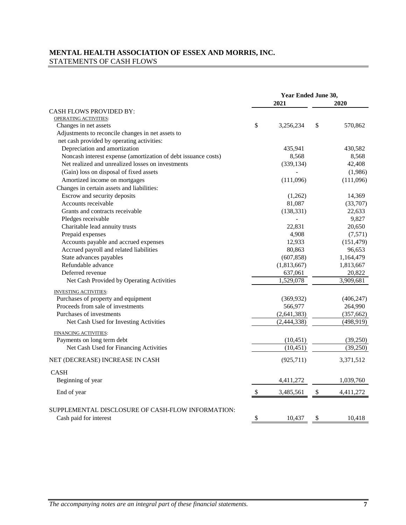# **MENTAL HEALTH ASSOCIATION OF ESSEX AND MORRIS, INC.** STATEMENTS OF CASH FLOWS

|                                                                | Year Ended June 30, |             |    |            |  |
|----------------------------------------------------------------|---------------------|-------------|----|------------|--|
|                                                                |                     | 2021        |    | 2020       |  |
| <b>CASH FLOWS PROVIDED BY:</b>                                 |                     |             |    |            |  |
| <b>OPERATING ACTIVITIES:</b>                                   |                     |             |    |            |  |
| Changes in net assets                                          | \$                  | 3,256,234   | \$ | 570,862    |  |
| Adjustments to reconcile changes in net assets to              |                     |             |    |            |  |
| net cash provided by operating activities:                     |                     |             |    |            |  |
| Depreciation and amortization                                  |                     | 435,941     |    | 430,582    |  |
| Noncash interest expense (amortization of debt issuance costs) |                     | 8,568       |    | 8,568      |  |
| Net realized and unrealized losses on investments              |                     | (339, 134)  |    | 42,408     |  |
| (Gain) loss on disposal of fixed assets                        |                     |             |    | (1,986)    |  |
| Amortized income on mortgages                                  |                     | (111,096)   |    | (111,096)  |  |
| Changes in certain assets and liabilities:                     |                     |             |    |            |  |
| Escrow and security deposits                                   |                     | (1,262)     |    | 14,369     |  |
| Accounts receivable                                            |                     | 81,087      |    | (33,707)   |  |
| Grants and contracts receivable                                |                     | (138, 331)  |    | 22,633     |  |
| Pledges receivable                                             |                     |             |    | 9,827      |  |
| Charitable lead annuity trusts                                 |                     | 22,831      |    | 20,650     |  |
| Prepaid expenses                                               |                     | 4,908       |    | (7,571)    |  |
| Accounts payable and accrued expenses                          |                     | 12,933      |    | (151, 479) |  |
| Accrued payroll and related liabilities                        |                     | 80,863      |    | 96,653     |  |
| State advances payables                                        |                     | (607, 858)  |    | 1,164,479  |  |
| Refundable advance                                             |                     | (1,813,667) |    | 1,813,667  |  |
| Deferred revenue                                               |                     | 637,061     |    | 20,822     |  |
| Net Cash Provided by Operating Activities                      |                     | 1,529,078   |    | 3,909,681  |  |
| <b>INVESTING ACTIVITIES:</b>                                   |                     |             |    |            |  |
| Purchases of property and equipment                            |                     | (369, 932)  |    | (406, 247) |  |
| Proceeds from sale of investments                              |                     | 566,977     |    | 264,990    |  |
| Purchases of investments                                       |                     | (2,641,383) |    | (357, 662) |  |
| Net Cash Used for Investing Activities                         |                     | (2,444,338) |    | (498, 919) |  |
| FINANCING ACTIVITIES:                                          |                     |             |    |            |  |
| Payments on long term debt                                     |                     | (10, 451)   |    | (39,250)   |  |
| Net Cash Used for Financing Activities                         |                     | (10, 451)   |    | (39,250)   |  |
| NET (DECREASE) INCREASE IN CASH                                |                     | (925,711)   |    | 3,371,512  |  |
| <b>CASH</b>                                                    |                     |             |    |            |  |
| Beginning of year                                              |                     | 4,411,272   |    | 1,039,760  |  |
| End of year                                                    | \$                  | 3,485,561   | \$ | 4,411,272  |  |
| SUPPLEMENTAL DISCLOSURE OF CASH-FLOW INFORMATION:              |                     |             |    |            |  |
| Cash paid for interest                                         | \$                  | 10,437      | \$ | 10,418     |  |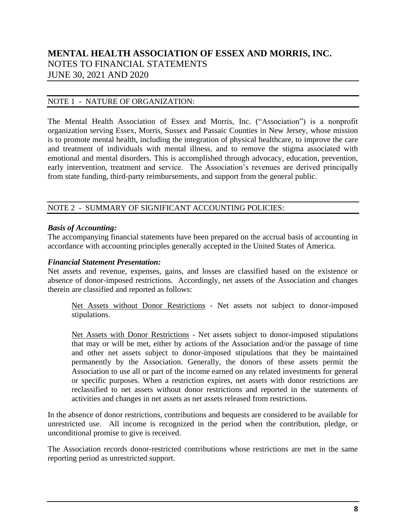## NOTE 1 - NATURE OF ORGANIZATION:

The Mental Health Association of Essex and Morris, Inc. ("Association") is a nonprofit organization serving Essex, Morris, Sussex and Passaic Counties in New Jersey, whose mission is to promote mental health, including the integration of physical healthcare, to improve the care and treatment of individuals with mental illness, and to remove the stigma associated with emotional and mental disorders. This is accomplished through advocacy, education, prevention, early intervention, treatment and service. The Association's revenues are derived principally from state funding, third-party reimbursements, and support from the general public.

# NOTE 2 - SUMMARY OF SIGNIFICANT ACCOUNTING POLICIES:

### *Basis of Accounting:*

The accompanying financial statements have been prepared on the accrual basis of accounting in accordance with accounting principles generally accepted in the United States of America.

#### *Financial Statement Presentation:*

Net assets and revenue, expenses, gains, and losses are classified based on the existence or absence of donor-imposed restrictions. Accordingly, net assets of the Association and changes therein are classified and reported as follows:

Net Assets without Donor Restrictions - Net assets not subject to donor-imposed stipulations.

Net Assets with Donor Restrictions - Net assets subject to donor-imposed stipulations that may or will be met, either by actions of the Association and/or the passage of time and other net assets subject to donor-imposed stipulations that they be maintained permanently by the Association. Generally, the donors of these assets permit the Association to use all or part of the income earned on any related investments for general or specific purposes. When a restriction expires, net assets with donor restrictions are reclassified to net assets without donor restrictions and reported in the statements of activities and changes in net assets as net assets released from restrictions.

In the absence of donor restrictions, contributions and bequests are considered to be available for unrestricted use. All income is recognized in the period when the contribution, pledge, or unconditional promise to give is received.

The Association records donor-restricted contributions whose restrictions are met in the same reporting period as unrestricted support.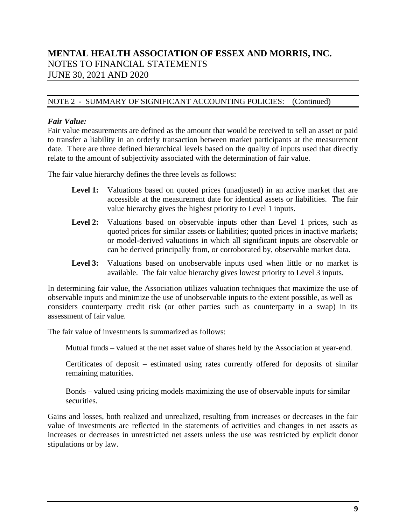## NOTE 2 - SUMMARY OF SIGNIFICANT ACCOUNTING POLICIES: (Continued)

### *Fair Value:*

Fair value measurements are defined as the amount that would be received to sell an asset or paid to transfer a liability in an orderly transaction between market participants at the measurement date. There are three defined hierarchical levels based on the quality of inputs used that directly relate to the amount of subjectivity associated with the determination of fair value.

The fair value hierarchy defines the three levels as follows:

- Level 1: Valuations based on quoted prices (unadjusted) in an active market that are accessible at the measurement date for identical assets or liabilities. The fair value hierarchy gives the highest priority to Level 1 inputs.
- Level 2: Valuations based on observable inputs other than Level 1 prices, such as quoted prices for similar assets or liabilities; quoted prices in inactive markets; or model-derived valuations in which all significant inputs are observable or can be derived principally from, or corroborated by, observable market data.
- Level 3: Valuations based on unobservable inputs used when little or no market is available. The fair value hierarchy gives lowest priority to Level 3 inputs.

In determining fair value, the Association utilizes valuation techniques that maximize the use of observable inputs and minimize the use of unobservable inputs to the extent possible, as well as considers counterparty credit risk (or other parties such as counterparty in a swap) in its assessment of fair value.

The fair value of investments is summarized as follows:

Mutual funds – valued at the net asset value of shares held by the Association at year-end.

Certificates of deposit – estimated using rates currently offered for deposits of similar remaining maturities.

 Bonds – valued using pricing models maximizing the use of observable inputs for similar securities.

Gains and losses, both realized and unrealized, resulting from increases or decreases in the fair value of investments are reflected in the statements of activities and changes in net assets as increases or decreases in unrestricted net assets unless the use was restricted by explicit donor stipulations or by law.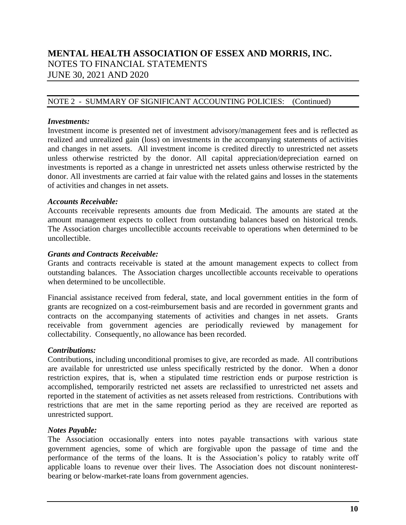## NOTE 2 - SUMMARY OF SIGNIFICANT ACCOUNTING POLICIES: (Continued)

### *Investments:*

Investment income is presented net of investment advisory/management fees and is reflected as realized and unrealized gain (loss) on investments in the accompanying statements of activities and changes in net assets. All investment income is credited directly to unrestricted net assets unless otherwise restricted by the donor. All capital appreciation/depreciation earned on investments is reported as a change in unrestricted net assets unless otherwise restricted by the donor. All investments are carried at fair value with the related gains and losses in the statements of activities and changes in net assets.

#### *Accounts Receivable:*

Accounts receivable represents amounts due from Medicaid. The amounts are stated at the amount management expects to collect from outstanding balances based on historical trends. The Association charges uncollectible accounts receivable to operations when determined to be uncollectible.

#### *Grants and Contracts Receivable:*

Grants and contracts receivable is stated at the amount management expects to collect from outstanding balances. The Association charges uncollectible accounts receivable to operations when determined to be uncollectible.

Financial assistance received from federal, state, and local government entities in the form of grants are recognized on a cost-reimbursement basis and are recorded in government grants and contracts on the accompanying statements of activities and changes in net assets. Grants receivable from government agencies are periodically reviewed by management for collectability. Consequently, no allowance has been recorded.

#### *Contributions:*

Contributions, including unconditional promises to give, are recorded as made. All contributions are available for unrestricted use unless specifically restricted by the donor. When a donor restriction expires, that is, when a stipulated time restriction ends or purpose restriction is accomplished, temporarily restricted net assets are reclassified to unrestricted net assets and reported in the statement of activities as net assets released from restrictions. Contributions with restrictions that are met in the same reporting period as they are received are reported as unrestricted support.

### *Notes Payable:*

The Association occasionally enters into notes payable transactions with various state government agencies, some of which are forgivable upon the passage of time and the performance of the terms of the loans. It is the Association's policy to ratably write off applicable loans to revenue over their lives. The Association does not discount noninterestbearing or below-market-rate loans from government agencies.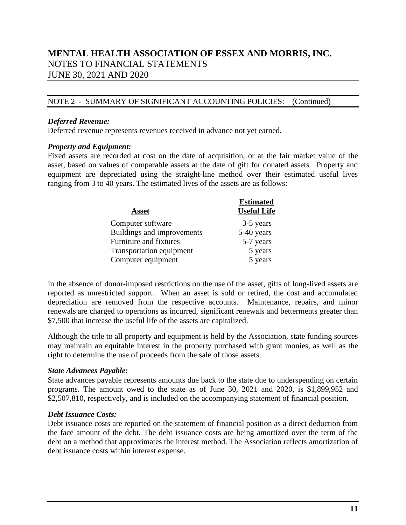# NOTE 2 - SUMMARY OF SIGNIFICANT ACCOUNTING POLICIES: (Continued)

#### *Deferred Revenue:*

Deferred revenue represents revenues received in advance not yet earned.

### *Property and Equipment:*

Fixed assets are recorded at cost on the date of acquisition, or at the fair market value of the asset, based on values of comparable assets at the date of gift for donated assets. Property and equipment are depreciated using the straight-line method over their estimated useful lives ranging from 3 to 40 years. The estimated lives of the assets are as follows:

|                            | <b>Estimated</b>   |
|----------------------------|--------------------|
| Asset                      | <b>Useful Life</b> |
| Computer software          | 3-5 years          |
| Buildings and improvements | 5-40 years         |
| Furniture and fixtures     | 5-7 years          |
| Transportation equipment   | 5 years            |
| Computer equipment         | 5 years            |

In the absence of donor-imposed restrictions on the use of the asset, gifts of long-lived assets are reported as unrestricted support. When an asset is sold or retired, the cost and accumulated depreciation are removed from the respective accounts. Maintenance, repairs, and minor renewals are charged to operations as incurred, significant renewals and betterments greater than \$7,500 that increase the useful life of the assets are capitalized.

Although the title to all property and equipment is held by the Association, state funding sources may maintain an equitable interest in the property purchased with grant monies, as well as the right to determine the use of proceeds from the sale of those assets.

### *State Advances Payable:*

State advances payable represents amounts due back to the state due to underspending on certain programs. The amount owed to the state as of June 30, 2021 and 2020, is \$1,899,952 and \$2,507,810, respectively, and is included on the accompanying statement of financial position.

### *Debt Issuance Costs:*

Debt issuance costs are reported on the statement of financial position as a direct deduction from the face amount of the debt. The debt issuance costs are being amortized over the term of the debt on a method that approximates the interest method. The Association reflects amortization of debt issuance costs within interest expense.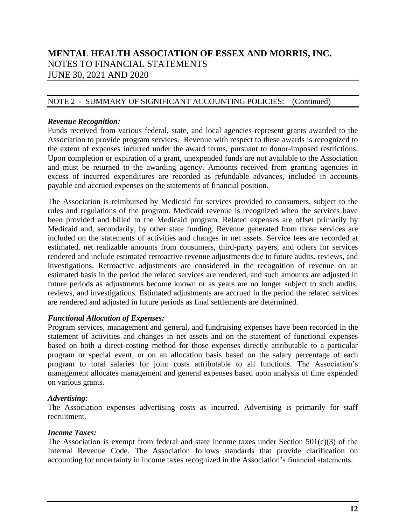## NOTE 2 - SUMMARY OF SIGNIFICANT ACCOUNTING POLICIES: (Continued)

#### *Revenue Recognition:*

Funds received from various federal, state, and local agencies represent grants awarded to the Association to provide program services. Revenue with respect to these awards is recognized to the extent of expenses incurred under the award terms, pursuant to donor-imposed restrictions. Upon completion or expiration of a grant, unexpended funds are not available to the Association and must be returned to the awarding agency. Amounts received from granting agencies in excess of incurred expenditures are recorded as refundable advances, included in accounts payable and accrued expenses on the statements of financial position.

The Association is reimbursed by Medicaid for services provided to consumers, subject to the rules and regulations of the program. Medicaid revenue is recognized when the services have been provided and billed to the Medicaid program. Related expenses are offset primarily by Medicaid and, secondarily, by other state funding. Revenue generated from those services are included on the statements of activities and changes in net assets. Service fees are recorded at estimated, net realizable amounts from consumers, third-party payers, and others for services rendered and include estimated retroactive revenue adjustments due to future audits, reviews, and investigations. Retroactive adjustments are considered in the recognition of revenue on an estimated basis in the period the related services are rendered, and such amounts are adjusted in future periods as adjustments become known or as years are no longer subject to such audits, reviews, and investigations. Estimated adjustments are accrued in the period the related services are rendered and adjusted in future periods as final settlements are determined.

### *Functional Allocation of Expenses:*

Program services, management and general, and fundraising expenses have been recorded in the statement of activities and changes in net assets and on the statement of functional expenses based on both a direct-costing method for those expenses directly attributable to a particular program or special event, or on an allocation basis based on the salary percentage of each program to total salaries for joint costs attributable to all functions. The Association's management allocates management and general expenses based upon analysis of time expended on various grants.

### *Advertising:*

The Association expenses advertising costs as incurred. Advertising is primarily for staff recruitment.

### *Income Taxes:*

The Association is exempt from federal and state income taxes under Section  $501(c)(3)$  of the Internal Revenue Code. The Association follows standards that provide clarification on accounting for uncertainty in income taxes recognized in the Association's financial statements.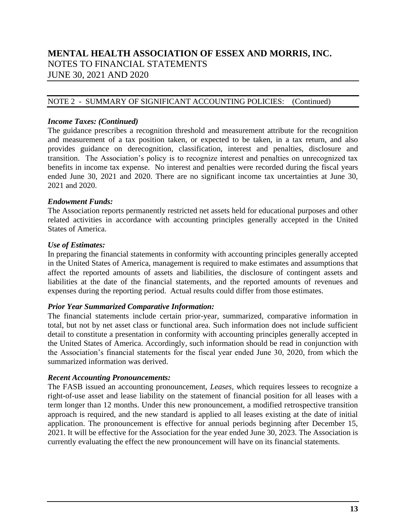# NOTE 2 - SUMMARY OF SIGNIFICANT ACCOUNTING POLICIES: (Continued)

### *Income Taxes: (Continued)*

The guidance prescribes a recognition threshold and measurement attribute for the recognition and measurement of a tax position taken, or expected to be taken, in a tax return, and also provides guidance on derecognition, classification, interest and penalties, disclosure and transition. The Association's policy is to recognize interest and penalties on unrecognized tax benefits in income tax expense. No interest and penalties were recorded during the fiscal years ended June 30, 2021 and 2020. There are no significant income tax uncertainties at June 30, 2021 and 2020.

### *Endowment Funds:*

The Association reports permanently restricted net assets held for educational purposes and other related activities in accordance with accounting principles generally accepted in the United States of America.

### *Use of Estimates:*

In preparing the financial statements in conformity with accounting principles generally accepted in the United States of America, management is required to make estimates and assumptions that affect the reported amounts of assets and liabilities, the disclosure of contingent assets and liabilities at the date of the financial statements, and the reported amounts of revenues and expenses during the reporting period. Actual results could differ from those estimates.

### *Prior Year Summarized Comparative Information:*

The financial statements include certain prior-year, summarized, comparative information in total, but not by net asset class or functional area. Such information does not include sufficient detail to constitute a presentation in conformity with accounting principles generally accepted in the United States of America. Accordingly, such information should be read in conjunction with the Association's financial statements for the fiscal year ended June 30, 2020, from which the summarized information was derived.

### *Recent Accounting Pronouncements:*

The FASB issued an accounting pronouncement, *Leases*, which requires lessees to recognize a right-of-use asset and lease liability on the statement of financial position for all leases with a term longer than 12 months. Under this new pronouncement, a modified retrospective transition approach is required, and the new standard is applied to all leases existing at the date of initial application. The pronouncement is effective for annual periods beginning after December 15, 2021. It will be effective for the Association for the year ended June 30, 2023. The Association is currently evaluating the effect the new pronouncement will have on its financial statements.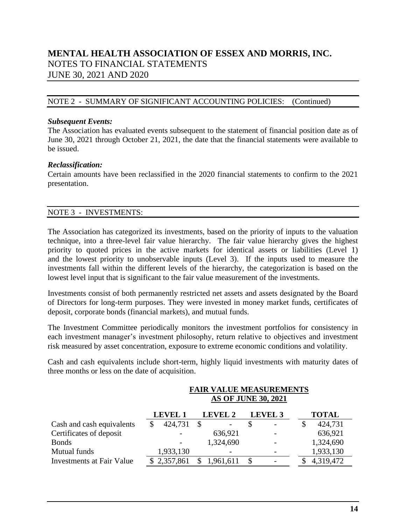## NOTE 2 - SUMMARY OF SIGNIFICANT ACCOUNTING POLICIES: (Continued)

#### *Subsequent Events:*

The Association has evaluated events subsequent to the statement of financial position date as of June 30, 2021 through October 21, 2021, the date that the financial statements were available to be issued.

#### *Reclassification:*

Certain amounts have been reclassified in the 2020 financial statements to confirm to the 2021 presentation.

### NOTE 3 - INVESTMENTS:

The Association has categorized its investments, based on the priority of inputs to the valuation technique, into a three-level fair value hierarchy. The fair value hierarchy gives the highest priority to quoted prices in the active markets for identical assets or liabilities (Level 1) and the lowest priority to unobservable inputs (Level 3). If the inputs used to measure the investments fall within the different levels of the hierarchy, the categorization is based on the lowest level input that is significant to the fair value measurement of the investments.

Investments consist of both permanently restricted net assets and assets designated by the Board of Directors for long-term purposes. They were invested in money market funds, certificates of deposit, corporate bonds (financial markets), and mutual funds.

The Investment Committee periodically monitors the investment portfolios for consistency in each investment manager's investment philosophy, return relative to objectives and investment risk measured by asset concentration, exposure to extreme economic conditions and volatility.

Cash and cash equivalents include short-term, highly liquid investments with maturity dates of three months or less on the date of acquisition.

|                                  | <b>FAIR VALUE MEASUREMENTS</b><br><b>AS OF JUNE 30, 2021</b> |                               |                                |              |  |  |  |  |
|----------------------------------|--------------------------------------------------------------|-------------------------------|--------------------------------|--------------|--|--|--|--|
|                                  | <b>LEVEL 1</b>                                               | <b>LEVEL 2</b>                | <b>LEVEL 3</b>                 | <b>TOTAL</b> |  |  |  |  |
| Cash and cash equivalents        | 424,731<br>S                                                 | S<br>$\overline{\phantom{a}}$ | \$<br>$\overline{\phantom{a}}$ | 424,731      |  |  |  |  |
| Certificates of deposit          |                                                              | 636,921                       |                                | 636,921      |  |  |  |  |
| <b>Bonds</b>                     |                                                              | 1,324,690                     |                                | 1,324,690    |  |  |  |  |
| <b>Mutual funds</b>              | 1,933,130                                                    |                               |                                | 1,933,130    |  |  |  |  |
| <b>Investments at Fair Value</b> | \$2,357,861                                                  | 1,961,611                     | S                              | 4,319,472    |  |  |  |  |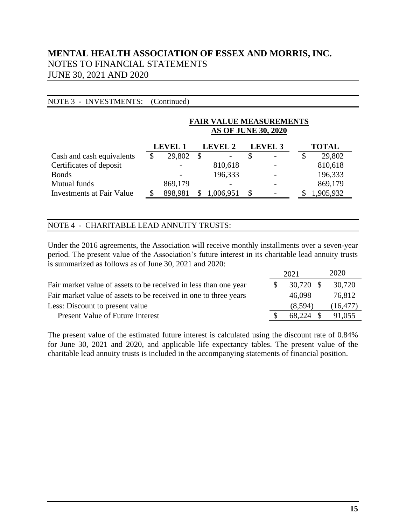#### NOTE 3 - INVESTMENTS: (Continued)

|                                  | <b>FAIR VALUE MEASUREMENTS</b><br><b>AS OF JUNE 30, 2020</b> |                |  |                |  |                |   |              |
|----------------------------------|--------------------------------------------------------------|----------------|--|----------------|--|----------------|---|--------------|
|                                  |                                                              | <b>LEVEL 1</b> |  | <b>LEVEL 2</b> |  | <b>LEVEL 3</b> |   | <b>TOTAL</b> |
| Cash and cash equivalents        |                                                              | 29,802         |  |                |  |                | S | 29,802       |
| Certificates of deposit          |                                                              |                |  | 810,618        |  |                |   | 810,618      |
| <b>Bonds</b>                     |                                                              |                |  | 196,333        |  |                |   | 196,333      |
| Mutual funds                     |                                                              | 869,179        |  |                |  |                |   | 869,179      |
| <b>Investments at Fair Value</b> |                                                              | 898,981        |  | 1,006,951      |  |                |   | 1,905,932    |

### NOTE 4 - CHARITABLE LEAD ANNUITY TRUSTS:

Under the 2016 agreements, the Association will receive monthly installments over a seven-year period. The present value of the Association's future interest in its charitable lead annuity trusts is summarized as follows as of June 30, 2021 and 2020:

|                                                                  |     | 2021           | 2020      |
|------------------------------------------------------------------|-----|----------------|-----------|
| Fair market value of assets to be received in less than one year | -SS | 30,720 \$      | 30.720    |
| Fair market value of assets to be received in one to three years |     | 46,098         | 76.812    |
| Less: Discount to present value                                  |     | (8,594)        | (16, 477) |
| <b>Present Value of Future Interest</b>                          |     | 68.224<br>- \$ | 91,055    |

The present value of the estimated future interest is calculated using the discount rate of 0.84% for June 30, 2021 and 2020, and applicable life expectancy tables. The present value of the charitable lead annuity trusts is included in the accompanying statements of financial position.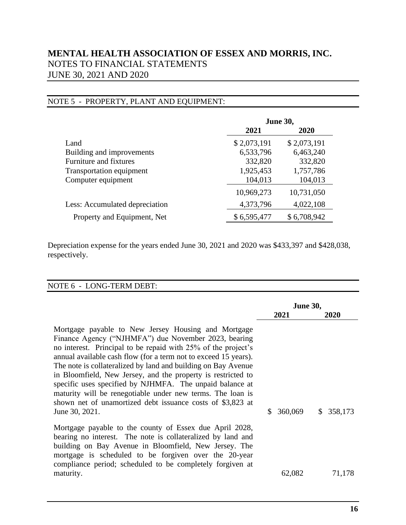# NOTE 5 - PROPERTY, PLANT AND EQUIPMENT:

|                                | <b>June 30,</b> |             |  |  |
|--------------------------------|-----------------|-------------|--|--|
|                                | 2021            | 2020        |  |  |
| Land                           | \$2,073,191     | \$2,073,191 |  |  |
| Building and improvements      | 6,533,796       | 6,463,240   |  |  |
| Furniture and fixtures         | 332,820         | 332,820     |  |  |
| Transportation equipment       | 1,925,453       | 1,757,786   |  |  |
| Computer equipment             | 104,013         | 104,013     |  |  |
|                                | 10,969,273      | 10,731,050  |  |  |
| Less: Accumulated depreciation | 4,373,796       | 4,022,108   |  |  |
| Property and Equipment, Net    | \$6,595,477     | \$6,708,942 |  |  |

Depreciation expense for the years ended June 30, 2021 and 2020 was \$433,397 and \$428,038, respectively.

| NOTE 6 - LONG-TERM DEBT:                                                                                                                                                                                                                                                                                                                                                                                                                                                                                                                                                                   |                 |                         |
|--------------------------------------------------------------------------------------------------------------------------------------------------------------------------------------------------------------------------------------------------------------------------------------------------------------------------------------------------------------------------------------------------------------------------------------------------------------------------------------------------------------------------------------------------------------------------------------------|-----------------|-------------------------|
|                                                                                                                                                                                                                                                                                                                                                                                                                                                                                                                                                                                            | <b>June 30,</b> |                         |
|                                                                                                                                                                                                                                                                                                                                                                                                                                                                                                                                                                                            | 2021            | 2020                    |
| Mortgage payable to New Jersey Housing and Mortgage<br>Finance Agency ("NJHMFA") due November 2023, bearing<br>no interest. Principal to be repaid with 25% of the project's<br>annual available cash flow (for a term not to exceed 15 years).<br>The note is collateralized by land and building on Bay Avenue<br>in Bloomfield, New Jersey, and the property is restricted to<br>specific uses specified by NJHMFA. The unpaid balance at<br>maturity will be renegotiable under new terms. The loan is<br>shown net of unamortized debt issuance costs of \$3,823 at<br>June 30, 2021. | 360,069<br>S    | 358,173<br>$\mathbb{S}$ |
| Mortgage payable to the county of Essex due April 2028,<br>bearing no interest. The note is collateralized by land and<br>building on Bay Avenue in Bloomfield, New Jersey. The                                                                                                                                                                                                                                                                                                                                                                                                            |                 |                         |

mortgage is scheduled to be forgiven over the 20-year compliance period; scheduled to be completely forgiven at

maturity. 62,082 71,178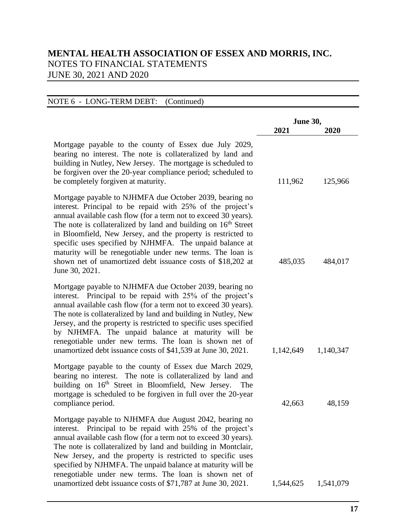# NOTE 6 - LONG-TERM DEBT: (Continued)

|                                                                                                                                                                                                                                                                                                                                                                                                                                                                                                                                                   | <b>June 30,</b> |           |
|---------------------------------------------------------------------------------------------------------------------------------------------------------------------------------------------------------------------------------------------------------------------------------------------------------------------------------------------------------------------------------------------------------------------------------------------------------------------------------------------------------------------------------------------------|-----------------|-----------|
|                                                                                                                                                                                                                                                                                                                                                                                                                                                                                                                                                   | 2021            | 2020      |
| Mortgage payable to the county of Essex due July 2029,<br>bearing no interest. The note is collateralized by land and<br>building in Nutley, New Jersey. The mortgage is scheduled to<br>be forgiven over the 20-year compliance period; scheduled to<br>be completely forgiven at maturity.                                                                                                                                                                                                                                                      | 111,962         | 125,966   |
| Mortgage payable to NJHMFA due October 2039, bearing no<br>interest. Principal to be repaid with 25% of the project's<br>annual available cash flow (for a term not to exceed 30 years).<br>The note is collateralized by land and building on 16 <sup>th</sup> Street<br>in Bloomfield, New Jersey, and the property is restricted to<br>specific uses specified by NJHMFA. The unpaid balance at<br>maturity will be renegotiable under new terms. The loan is<br>shown net of unamortized debt issuance costs of \$18,202 at<br>June 30, 2021. | 485,035         | 484,017   |
| Mortgage payable to NJHMFA due October 2039, bearing no<br>Principal to be repaid with 25% of the project's<br>interest.<br>annual available cash flow (for a term not to exceed 30 years).<br>The note is collateralized by land and building in Nutley, New<br>Jersey, and the property is restricted to specific uses specified<br>by NJHMFA. The unpaid balance at maturity will be<br>renegotiable under new terms. The loan is shown net of<br>unamortized debt issuance costs of \$41,539 at June 30, 2021.                                | 1,142,649       | 1,140,347 |
| Mortgage payable to the county of Essex due March 2029,<br>bearing no interest. The note is collateralized by land and<br>building on 16 <sup>th</sup> Street in Bloomfield, New Jersey.<br>The<br>mortgage is scheduled to be forgiven in full over the 20-year<br>compliance period.                                                                                                                                                                                                                                                            | 42,663          | 48,159    |
| Mortgage payable to NJHMFA due August 2042, bearing no<br>interest.<br>Principal to be repaid with 25% of the project's<br>annual available cash flow (for a term not to exceed 30 years).<br>The note is collateralized by land and building in Montclair,<br>New Jersey, and the property is restricted to specific uses<br>specified by NJHMFA. The unpaid balance at maturity will be<br>renegotiable under new terms. The loan is shown net of<br>unamortized debt issuance costs of \$71,787 at June 30, 2021.                              | 1,544,625       | 1,541,079 |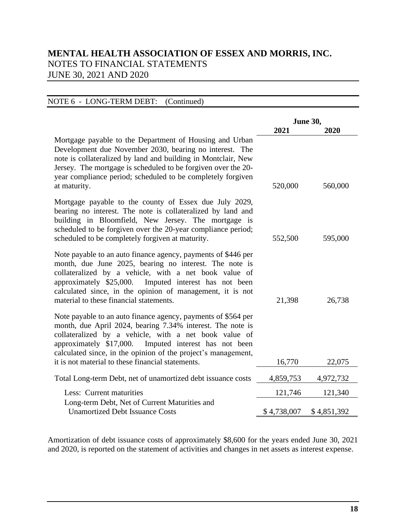# NOTE 6 - LONG-TERM DEBT: (Continued)

|                                                                                                                                                                                                                                                                                                                                                                     | June 30,    |             |  |  |
|---------------------------------------------------------------------------------------------------------------------------------------------------------------------------------------------------------------------------------------------------------------------------------------------------------------------------------------------------------------------|-------------|-------------|--|--|
|                                                                                                                                                                                                                                                                                                                                                                     | 2021        | 2020        |  |  |
| Mortgage payable to the Department of Housing and Urban<br>Development due November 2030, bearing no interest. The<br>note is collateralized by land and building in Montclair, New<br>Jersey. The mortgage is scheduled to be forgiven over the 20-<br>year compliance period; scheduled to be completely forgiven<br>at maturity.                                 | 520,000     | 560,000     |  |  |
| Mortgage payable to the county of Essex due July 2029,<br>bearing no interest. The note is collateralized by land and<br>building in Bloomfield, New Jersey. The mortgage is<br>scheduled to be forgiven over the 20-year compliance period;<br>scheduled to be completely forgiven at maturity.                                                                    | 552,500     | 595,000     |  |  |
| Note payable to an auto finance agency, payments of \$446 per<br>month, due June 2025, bearing no interest. The note is<br>collateralized by a vehicle, with a net book value of<br>approximately $$25,000$ .<br>Imputed interest has not been<br>calculated since, in the opinion of management, it is not<br>material to these financial statements.              | 21,398      | 26,738      |  |  |
| Note payable to an auto finance agency, payments of \$564 per<br>month, due April 2024, bearing 7.34% interest. The note is<br>collateralized by a vehicle, with a net book value of<br>approximately \$17,000. Imputed interest has not been<br>calculated since, in the opinion of the project's management,<br>it is not material to these financial statements. | 16,770      | 22,075      |  |  |
|                                                                                                                                                                                                                                                                                                                                                                     |             |             |  |  |
| Total Long-term Debt, net of unamortized debt issuance costs                                                                                                                                                                                                                                                                                                        | 4,859,753   | 4,972,732   |  |  |
| Less: Current maturities                                                                                                                                                                                                                                                                                                                                            | 121,746     | 121,340     |  |  |
| Long-term Debt, Net of Current Maturities and                                                                                                                                                                                                                                                                                                                       |             |             |  |  |
| <b>Unamortized Debt Issuance Costs</b>                                                                                                                                                                                                                                                                                                                              | \$4,738,007 | \$4,851,392 |  |  |

Amortization of debt issuance costs of approximately \$8,600 for the years ended June 30, 2021 and 2020, is reported on the statement of activities and changes in net assets as interest expense.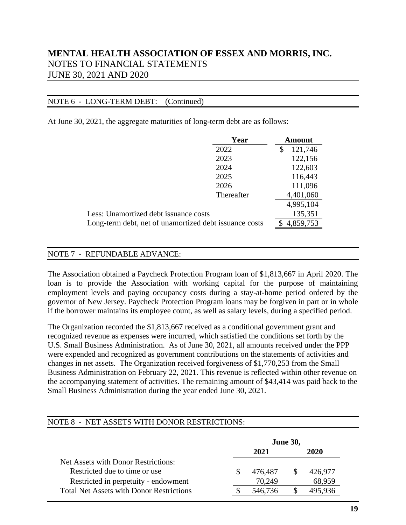### NOTE 6 - LONG-TERM DEBT: (Continued)

At June 30, 2021, the aggregate maturities of long-term debt are as follows:

|                                                        | Year       | <b>Amount</b> |
|--------------------------------------------------------|------------|---------------|
|                                                        | 2022       | 121,746<br>S  |
|                                                        | 2023       | 122,156       |
|                                                        | 2024       | 122,603       |
|                                                        | 2025       | 116,443       |
|                                                        | 2026       | 111,096       |
|                                                        | Thereafter | 4,401,060     |
|                                                        |            | 4,995,104     |
| Less: Unamortized debt issuance costs                  | 135,351    |               |
| Long-term debt, net of unamortized debt issuance costs | 4,859,753  |               |

### NOTE 7 - REFUNDABLE ADVANCE:

The Association obtained a Paycheck Protection Program loan of \$1,813,667 in April 2020. The loan is to provide the Association with working capital for the purpose of maintaining employment levels and paying occupancy costs during a stay-at-home period ordered by the governor of New Jersey. Paycheck Protection Program loans may be forgiven in part or in whole if the borrower maintains its employee count, as well as salary levels, during a specified period.

The Organization recorded the \$1,813,667 received as a conditional government grant and recognized revenue as expenses were incurred, which satisfied the conditions set forth by the U.S. Small Business Administration. As of June 30, 2021, all amounts received under the PPP were expended and recognized as government contributions on the statements of activities and changes in net assets. The Organization received forgiveness of \$1,770,253 from the Small Business Administration on February 22, 2021. This revenue is reflected within other revenue on the accompanying statement of activities. The remaining amount of \$43,414 was paid back to the Small Business Administration during the year ended June 30, 2021.

| NOTE 8 - NET ASSETS WITH DONOR RESTRICTIONS:    |                 |  |         |  |  |  |
|-------------------------------------------------|-----------------|--|---------|--|--|--|
|                                                 | <b>June 30,</b> |  |         |  |  |  |
|                                                 | 2021            |  | 2020    |  |  |  |
| Net Assets with Donor Restrictions:             |                 |  |         |  |  |  |
| Restricted due to time or use                   | 476,487         |  | 426,977 |  |  |  |
| Restricted in perpetuity - endowment            | 70,249          |  | 68,959  |  |  |  |
| <b>Total Net Assets with Donor Restrictions</b> | 546,736         |  | 495.936 |  |  |  |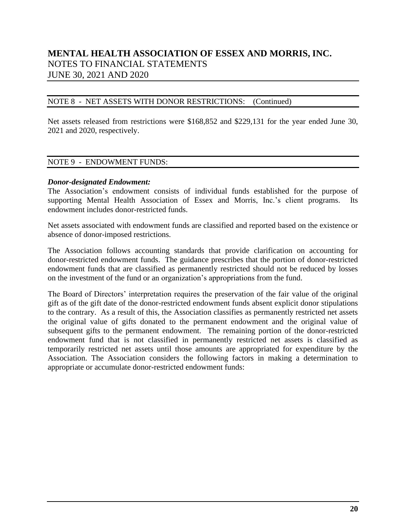### NOTE 8 - NET ASSETS WITH DONOR RESTRICTIONS: (Continued)

Net assets released from restrictions were \$168,852 and \$229,131 for the year ended June 30, 2021 and 2020, respectively.

### NOTE 9 - ENDOWMENT FUNDS:

### *Donor-designated Endowment:*

The Association's endowment consists of individual funds established for the purpose of supporting Mental Health Association of Essex and Morris, Inc.'s client programs. Its endowment includes donor-restricted funds.

Net assets associated with endowment funds are classified and reported based on the existence or absence of donor-imposed restrictions.

The Association follows accounting standards that provide clarification on accounting for donor-restricted endowment funds. The guidance prescribes that the portion of donor-restricted endowment funds that are classified as permanently restricted should not be reduced by losses on the investment of the fund or an organization's appropriations from the fund.

The Board of Directors' interpretation requires the preservation of the fair value of the original gift as of the gift date of the donor-restricted endowment funds absent explicit donor stipulations to the contrary. As a result of this, the Association classifies as permanently restricted net assets the original value of gifts donated to the permanent endowment and the original value of subsequent gifts to the permanent endowment. The remaining portion of the donor-restricted endowment fund that is not classified in permanently restricted net assets is classified as temporarily restricted net assets until those amounts are appropriated for expenditure by the Association. The Association considers the following factors in making a determination to appropriate or accumulate donor-restricted endowment funds: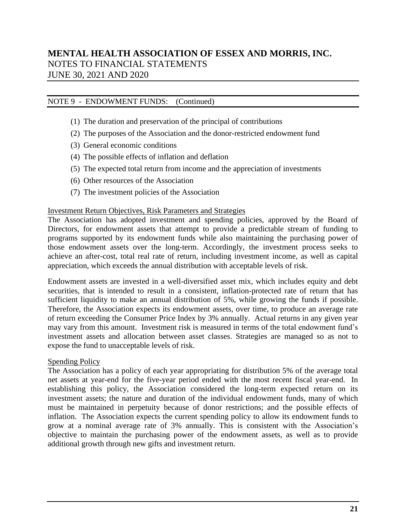## NOTE 9 - ENDOWMENT FUNDS: (Continued)

- (1) The duration and preservation of the principal of contributions
- (2) The purposes of the Association and the donor-restricted endowment fund
- (3) General economic conditions
- (4) The possible effects of inflation and deflation
- (5) The expected total return from income and the appreciation of investments
- (6) Other resources of the Association
- (7) The investment policies of the Association

### Investment Return Objectives, Risk Parameters and Strategies

The Association has adopted investment and spending policies, approved by the Board of Directors, for endowment assets that attempt to provide a predictable stream of funding to programs supported by its endowment funds while also maintaining the purchasing power of those endowment assets over the long-term. Accordingly, the investment process seeks to achieve an after-cost, total real rate of return, including investment income, as well as capital appreciation, which exceeds the annual distribution with acceptable levels of risk.

Endowment assets are invested in a well-diversified asset mix, which includes equity and debt securities, that is intended to result in a consistent, inflation-protected rate of return that has sufficient liquidity to make an annual distribution of 5%, while growing the funds if possible. Therefore, the Association expects its endowment assets, over time, to produce an average rate of return exceeding the Consumer Price Index by 3% annually. Actual returns in any given year may vary from this amount. Investment risk is measured in terms of the total endowment fund's investment assets and allocation between asset classes. Strategies are managed so as not to expose the fund to unacceptable levels of risk.

### Spending Policy

The Association has a policy of each year appropriating for distribution 5% of the average total net assets at year-end for the five-year period ended with the most recent fiscal year-end. In establishing this policy, the Association considered the long-term expected return on its investment assets; the nature and duration of the individual endowment funds, many of which must be maintained in perpetuity because of donor restrictions; and the possible effects of inflation. The Association expects the current spending policy to allow its endowment funds to grow at a nominal average rate of 3% annually. This is consistent with the Association's objective to maintain the purchasing power of the endowment assets, as well as to provide additional growth through new gifts and investment return.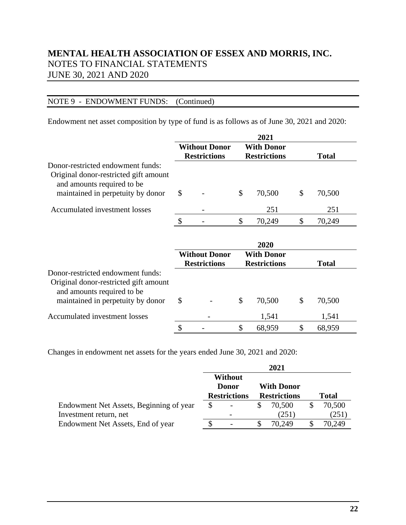# NOTE 9 - ENDOWMENT FUNDS: (Continued)

Endowment net asset composition by type of fund is as follows as of June 30, 2021 and 2020:

|                                       | 2021                 |                     |    |                     |   |              |  |  |  |
|---------------------------------------|----------------------|---------------------|----|---------------------|---|--------------|--|--|--|
|                                       | <b>Without Donor</b> |                     |    | <b>With Donor</b>   |   |              |  |  |  |
|                                       |                      | <b>Restrictions</b> |    | <b>Restrictions</b> |   | <b>Total</b> |  |  |  |
| Donor-restricted endowment funds:     |                      |                     |    |                     |   |              |  |  |  |
| Original donor-restricted gift amount |                      |                     |    |                     |   |              |  |  |  |
| and amounts required to be            |                      |                     |    |                     |   |              |  |  |  |
| maintained in perpetuity by donor     | \$                   |                     | \$ | 70,500              | S | 70,500       |  |  |  |
| Accumulated investment losses         |                      |                     |    | 251                 |   | 251          |  |  |  |
|                                       |                      |                     |    | 70,249              |   | 70.249       |  |  |  |

|                                                                     |                      |    | 2020                |   |              |
|---------------------------------------------------------------------|----------------------|----|---------------------|---|--------------|
|                                                                     | <b>Without Donor</b> |    | <b>With Donor</b>   |   |              |
|                                                                     | <b>Restrictions</b>  |    | <b>Restrictions</b> |   | <b>Total</b> |
| Donor-restricted endowment funds:                                   |                      |    |                     |   |              |
| Original donor-restricted gift amount<br>and amounts required to be |                      |    |                     |   |              |
| maintained in perpetuity by donor                                   | \$                   | \$ | 70,500              | S | 70,500       |
| Accumulated investment losses                                       |                      |    | 1,541               |   | 1,541        |
|                                                                     |                      |    | 68,959              |   | 68,959       |

Changes in endowment net assets for the years ended June 30, 2021 and 2020:

|                                         | 2021 |                     |                   |                     |  |              |  |  |  |  |
|-----------------------------------------|------|---------------------|-------------------|---------------------|--|--------------|--|--|--|--|
|                                         |      | Without             |                   |                     |  |              |  |  |  |  |
|                                         |      | <b>Donor</b>        | <b>With Donor</b> |                     |  |              |  |  |  |  |
|                                         |      | <b>Restrictions</b> |                   | <b>Restrictions</b> |  | <b>Total</b> |  |  |  |  |
| Endowment Net Assets, Beginning of year |      |                     |                   | 70.500              |  | 70,500       |  |  |  |  |
| Investment return, net                  |      |                     |                   | (251)               |  | (251         |  |  |  |  |
| Endowment Net Assets, End of year       |      |                     |                   | 70,249              |  | 70,249       |  |  |  |  |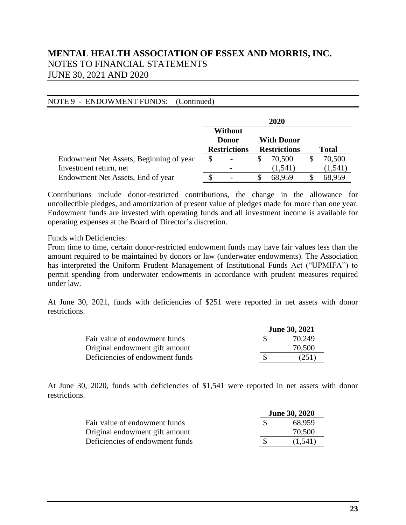| NOTE 9 - ENDOWMENT FUNDS:<br>(Continued) |                           |                                                |    |                                          |              |          |  |
|------------------------------------------|---------------------------|------------------------------------------------|----|------------------------------------------|--------------|----------|--|
|                                          |                           |                                                |    | 2020                                     |              |          |  |
|                                          |                           | Without<br><b>Donor</b><br><b>Restrictions</b> |    | <b>With Donor</b><br><b>Restrictions</b> | <b>Total</b> |          |  |
| Endowment Net Assets, Beginning of year  | \$                        | -                                              | \$ | 70,500                                   | \$           | 70,500   |  |
| Investment return, net                   |                           |                                                |    | (1, 541)                                 |              | (1, 541) |  |
| Endowment Net Assets, End of year        | $\boldsymbol{\mathsf{S}}$ |                                                | S  | 68,959                                   | \$           | 68,959   |  |

Contributions include donor-restricted contributions, the change in the allowance for uncollectible pledges, and amortization of present value of pledges made for more than one year. Endowment funds are invested with operating funds and all investment income is available for operating expenses at the Board of Director's discretion.

Funds with Deficiencies:

From time to time, certain donor-restricted endowment funds may have fair values less than the amount required to be maintained by donors or law (underwater endowments). The Association has interpreted the Uniform Prudent Management of Institutional Funds Act ("UPMIFA") to permit spending from underwater endowments in accordance with prudent measures required under law.

At June 30, 2021, funds with deficiencies of \$251 were reported in net assets with donor restrictions.

|                                 | <b>June 30, 2021</b> |        |  |  |  |  |
|---------------------------------|----------------------|--------|--|--|--|--|
| Fair value of endowment funds   |                      | 70,249 |  |  |  |  |
| Original endowment gift amount  |                      | 70,500 |  |  |  |  |
| Deficiencies of endowment funds |                      | (251)  |  |  |  |  |

At June 30, 2020, funds with deficiencies of \$1,541 were reported in net assets with donor restrictions.

|                                 | <b>June 30, 2020</b> |
|---------------------------------|----------------------|
| Fair value of endowment funds   | 68.959               |
| Original endowment gift amount  | 70,500               |
| Deficiencies of endowment funds | 1.541                |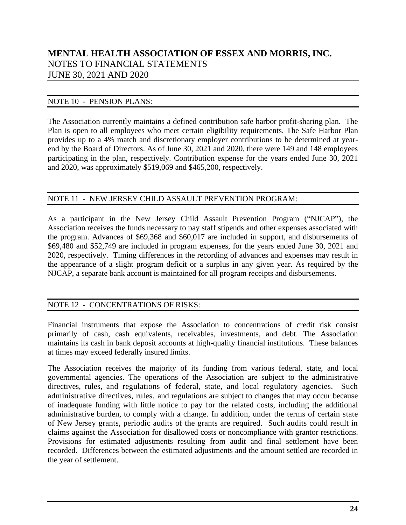### NOTE 10 - PENSION PLANS:

The Association currently maintains a defined contribution safe harbor profit-sharing plan. The Plan is open to all employees who meet certain eligibility requirements. The Safe Harbor Plan provides up to a 4% match and discretionary employer contributions to be determined at yearend by the Board of Directors. As of June 30, 2021 and 2020, there were 149 and 148 employees participating in the plan, respectively. Contribution expense for the years ended June 30, 2021 and 2020, was approximately \$519,069 and \$465,200, respectively.

### NOTE 11 - NEW JERSEY CHILD ASSAULT PREVENTION PROGRAM:

As a participant in the New Jersey Child Assault Prevention Program ("NJCAP"), the Association receives the funds necessary to pay staff stipends and other expenses associated with the program. Advances of \$69,368 and \$60,017 are included in support, and disbursements of \$69,480 and \$52,749 are included in program expenses, for the years ended June 30, 2021 and 2020, respectively. Timing differences in the recording of advances and expenses may result in the appearance of a slight program deficit or a surplus in any given year. As required by the NJCAP, a separate bank account is maintained for all program receipts and disbursements.

# NOTE 12 - CONCENTRATIONS OF RISKS:

Financial instruments that expose the Association to concentrations of credit risk consist primarily of cash, cash equivalents, receivables, investments, and debt. The Association maintains its cash in bank deposit accounts at high-quality financial institutions. These balances at times may exceed federally insured limits.

The Association receives the majority of its funding from various federal, state, and local governmental agencies. The operations of the Association are subject to the administrative directives, rules, and regulations of federal, state, and local regulatory agencies. Such administrative directives, rules, and regulations are subject to changes that may occur because of inadequate funding with little notice to pay for the related costs, including the additional administrative burden, to comply with a change. In addition, under the terms of certain state of New Jersey grants, periodic audits of the grants are required. Such audits could result in claims against the Association for disallowed costs or noncompliance with grantor restrictions. Provisions for estimated adjustments resulting from audit and final settlement have been recorded. Differences between the estimated adjustments and the amount settled are recorded in the year of settlement.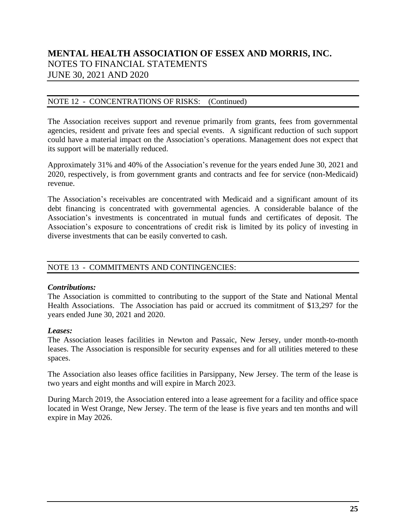# NOTE 12 - CONCENTRATIONS OF RISKS: (Continued)

The Association receives support and revenue primarily from grants, fees from governmental agencies, resident and private fees and special events. A significant reduction of such support could have a material impact on the Association's operations. Management does not expect that its support will be materially reduced.

Approximately 31% and 40% of the Association's revenue for the years ended June 30, 2021 and 2020, respectively, is from government grants and contracts and fee for service (non-Medicaid) revenue.

The Association's receivables are concentrated with Medicaid and a significant amount of its debt financing is concentrated with governmental agencies. A considerable balance of the Association's investments is concentrated in mutual funds and certificates of deposit. The Association's exposure to concentrations of credit risk is limited by its policy of investing in diverse investments that can be easily converted to cash.

### NOTE 13 - COMMITMENTS AND CONTINGENCIES:

### *Contributions:*

The Association is committed to contributing to the support of the State and National Mental Health Associations. The Association has paid or accrued its commitment of \$13,297 for the years ended June 30, 2021 and 2020.

### *Leases:*

The Association leases facilities in Newton and Passaic, New Jersey, under month-to-month leases. The Association is responsible for security expenses and for all utilities metered to these spaces.

The Association also leases office facilities in Parsippany, New Jersey. The term of the lease is two years and eight months and will expire in March 2023.

During March 2019, the Association entered into a lease agreement for a facility and office space located in West Orange, New Jersey. The term of the lease is five years and ten months and will expire in May 2026.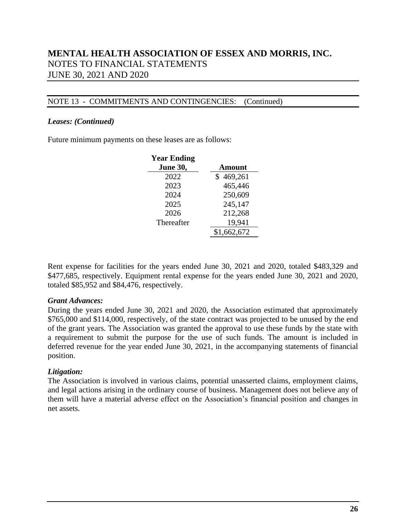# NOTE 13 - COMMITMENTS AND CONTINGENCIES: (Continued)

### *Leases: (Continued)*

Future minimum payments on these leases are as follows:

| <b>Year Ending</b> |               |
|--------------------|---------------|
| <b>June 30,</b>    | <b>Amount</b> |
| 2022               | 469,261<br>\$ |
| 2023               | 465,446       |
| 2024               | 250,609       |
| 2025               | 245,147       |
| 2026               | 212,268       |
| Thereafter         | 19,941        |
|                    | \$1,662,672   |

Rent expense for facilities for the years ended June 30, 2021 and 2020, totaled \$483,329 and \$477,685, respectively. Equipment rental expense for the years ended June 30, 2021 and 2020, totaled \$85,952 and \$84,476, respectively.

### *Grant Advances:*

During the years ended June 30, 2021 and 2020, the Association estimated that approximately \$765,000 and \$114,000, respectively, of the state contract was projected to be unused by the end of the grant years. The Association was granted the approval to use these funds by the state with a requirement to submit the purpose for the use of such funds. The amount is included in deferred revenue for the year ended June 30, 2021, in the accompanying statements of financial position.

### *Litigation:*

The Association is involved in various claims, potential unasserted claims, employment claims, and legal actions arising in the ordinary course of business. Management does not believe any of them will have a material adverse effect on the Association's financial position and changes in net assets.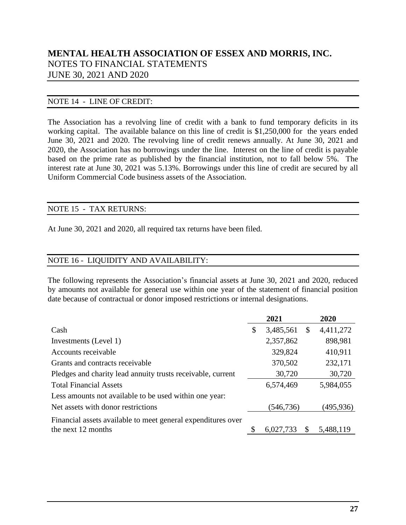### NOTE 14 - LINE OF CREDIT:

The Association has a revolving line of credit with a bank to fund temporary deficits in its working capital. The available balance on this line of credit is \$1,250,000 for the years ended June 30, 2021 and 2020. The revolving line of credit renews annually. At June 30, 2021 and 2020, the Association has no borrowings under the line. Interest on the line of credit is payable based on the prime rate as published by the financial institution, not to fall below 5%. The interest rate at June 30, 2021 was 5.13%. Borrowings under this line of credit are secured by all Uniform Commercial Code business assets of the Association.

### NOTE 15 - TAX RETURNS:

At June 30, 2021 and 2020, all required tax returns have been filed.

## NOTE 16 - LIQUIDITY AND AVAILABILITY:

The following represents the Association's financial assets at June 30, 2021 and 2020, reduced by amounts not available for general use within one year of the statement of financial position date because of contractual or donor imposed restrictions or internal designations.

|                                                              | 2021            |               | 2020       |
|--------------------------------------------------------------|-----------------|---------------|------------|
| Cash                                                         | \$<br>3,485,561 | $\mathcal{S}$ | 4,411,272  |
| Investments (Level 1)                                        | 2,357,862       |               | 898,981    |
| Accounts receivable                                          | 329,824         |               | 410,911    |
| Grants and contracts receivable                              | 370,502         |               | 232,171    |
| Pledges and charity lead annuity trusts receivable, current  | 30,720          |               | 30,720     |
| <b>Total Financial Assets</b>                                | 6,574,469       |               | 5,984,055  |
| Less amounts not available to be used within one year:       |                 |               |            |
| Net assets with donor restrictions                           | (546, 736)      |               | (495, 936) |
| Financial assets available to meet general expenditures over |                 |               |            |
| the next 12 months                                           | 6,027,733       | <b>S</b>      | 5,488,119  |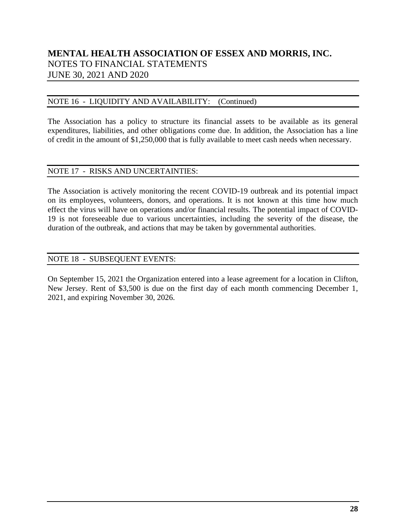# NOTE 16 - LIQUIDITY AND AVAILABILITY: (Continued)

The Association has a policy to structure its financial assets to be available as its general expenditures, liabilities, and other obligations come due. In addition, the Association has a line of credit in the amount of \$1,250,000 that is fully available to meet cash needs when necessary.

# NOTE 17 - RISKS AND UNCERTAINTIES:

The Association is actively monitoring the recent COVID-19 outbreak and its potential impact on its employees, volunteers, donors, and operations. It is not known at this time how much effect the virus will have on operations and/or financial results. The potential impact of COVID-19 is not foreseeable due to various uncertainties, including the severity of the disease, the duration of the outbreak, and actions that may be taken by governmental authorities.

### NOTE 18 - SUBSEQUENT EVENTS:

On September 15, 2021 the Organization entered into a lease agreement for a location in Clifton, New Jersey. Rent of \$3,500 is due on the first day of each month commencing December 1, 2021, and expiring November 30, 2026.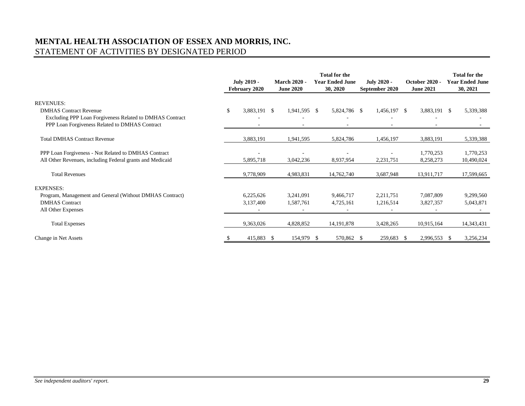# **MENTAL HEALTH ASSOCIATION OF ESSEX AND MORRIS, INC.** STATEMENT OF ACTIVITIES BY DESIGNATED PERIOD

|                                                                                                            | <b>July 2019 -</b><br>February 2020 |              | <b>March 2020 -</b><br><b>June 2020</b> |              | <b>Total for the</b><br><b>Year Ended June</b><br>30, 2020 |              | <b>July 2020 -</b><br>September 2020 |              | <b>October 2020 -</b><br><b>June 2021</b> |              |               | <b>Total for the</b><br><b>Year Ended June</b><br>30, 2021 |
|------------------------------------------------------------------------------------------------------------|-------------------------------------|--------------|-----------------------------------------|--------------|------------------------------------------------------------|--------------|--------------------------------------|--------------|-------------------------------------------|--------------|---------------|------------------------------------------------------------|
| <b>REVENUES:</b>                                                                                           |                                     |              |                                         |              |                                                            |              |                                      |              |                                           |              |               |                                                            |
| <b>DMHAS</b> Contract Revenue                                                                              | \$                                  | 3,883,191 \$ |                                         | 1,941,595 \$ |                                                            | 5,824,786 \$ |                                      | 1,456,197 \$ |                                           | 3,883,191 \$ |               | 5,339,388                                                  |
| Excluding PPP Loan Forgiveness Related to DMHAS Contract<br>PPP Loan Forgiveness Related to DMHAS Contract |                                     |              |                                         |              |                                                            |              |                                      |              |                                           |              |               |                                                            |
| <b>Total DMHAS Contract Revenue</b>                                                                        |                                     | 3,883,191    |                                         | 1,941,595    |                                                            | 5,824,786    |                                      | 1,456,197    |                                           | 3,883,191    |               | 5,339,388                                                  |
| PPP Loan Forgiveness - Not Related to DMHAS Contract                                                       |                                     |              |                                         |              |                                                            |              |                                      |              |                                           | 1,770,253    |               | 1,770,253                                                  |
| All Other Revenues, including Federal grants and Medicaid                                                  |                                     | 5,895,718    |                                         | 3,042,236    |                                                            | 8,937,954    |                                      | 2,231,751    |                                           | 8,258,273    |               | 10,490,024                                                 |
| <b>Total Revenues</b>                                                                                      |                                     | 9,778,909    |                                         | 4,983,831    |                                                            | 14,762,740   |                                      | 3,687,948    |                                           | 13,911,717   |               | 17,599,665                                                 |
| <b>EXPENSES:</b>                                                                                           |                                     |              |                                         |              |                                                            |              |                                      |              |                                           |              |               |                                                            |
| Program, Management and General (Without DMHAS Contract)                                                   |                                     | 6,225,626    |                                         | 3,241,091    |                                                            | 9,466,717    |                                      | 2,211,751    |                                           | 7,087,809    |               | 9,299,560                                                  |
| <b>DMHAS</b> Contract                                                                                      |                                     | 3,137,400    |                                         | 1,587,761    |                                                            | 4,725,161    |                                      | 1,216,514    |                                           | 3,827,357    |               | 5,043,871                                                  |
| All Other Expenses                                                                                         |                                     |              |                                         |              |                                                            |              |                                      |              |                                           |              |               |                                                            |
| <b>Total Expenses</b>                                                                                      |                                     | 9,363,026    |                                         | 4,828,852    |                                                            | 14, 191, 878 |                                      | 3,428,265    |                                           | 10,915,164   |               | 14,343,431                                                 |
| Change in Net Assets                                                                                       |                                     | 415,883 \$   |                                         | 154,979 \$   |                                                            | 570,862 \$   |                                      | 259,683      | -S                                        | 2,996,553    | <sup>\$</sup> | 3,256,234                                                  |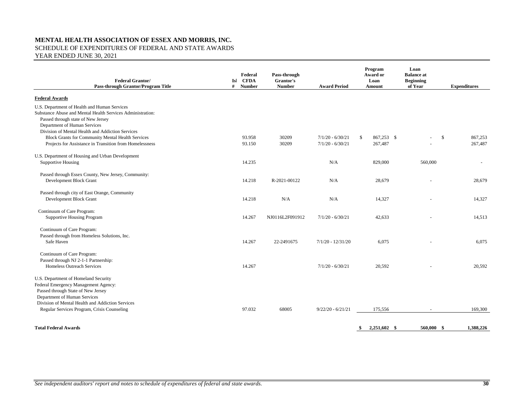#### **MENTAL HEALTH ASSOCIATION OF ESSEX AND MORRIS, INC.**

#### SCHEDULE OF EXPENDITURES OF FEDERAL AND STATE AWARDS

YEAR ENDED JUNE 30, 2021

| <b>Federal Grantor/</b><br><b>Pass-through Grantor/Program Title</b>                                                                                                                                                                                  | Federal<br><b>CFDA</b><br>Isl<br>#<br>Number | Pass-through<br>Grantor's<br><b>Number</b> | <b>Award Period</b>                      | Program<br>Award or<br>Loan<br>Amount | Loan<br><b>Balance</b> at<br><b>Beginning</b><br>of Year | <b>Expenditures</b>      |
|-------------------------------------------------------------------------------------------------------------------------------------------------------------------------------------------------------------------------------------------------------|----------------------------------------------|--------------------------------------------|------------------------------------------|---------------------------------------|----------------------------------------------------------|--------------------------|
| <b>Federal Awards</b>                                                                                                                                                                                                                                 |                                              |                                            |                                          |                                       |                                                          |                          |
| U.S. Department of Health and Human Services<br>Substance Abuse and Mental Health Services Administration:<br>Passed through state of New Jersey<br>Department of Human Services<br>Division of Mental Health and Addiction Services                  |                                              |                                            |                                          |                                       |                                                          |                          |
| <b>Block Grants for Community Mental Health Services</b><br>Projects for Assistance in Transition from Homelessness                                                                                                                                   | 93.958<br>93.150                             | 30209<br>30209                             | $7/1/20 - 6/30/21$<br>$7/1/20 - 6/30/21$ | $\mathbf S$<br>867,253 \$<br>267,487  | $\overline{a}$                                           | \$<br>867,253<br>267,487 |
| U.S. Department of Housing and Urban Development<br>Supportive Housing                                                                                                                                                                                | 14.235                                       |                                            | N/A                                      | 829,000                               | 560,000                                                  | $\blacksquare$           |
| Passed through Essex County, New Jersey, Community:<br>Development Block Grant                                                                                                                                                                        | 14.218                                       | R-2021-00122                               | N/A                                      | 28,679                                |                                                          | 28,679                   |
| Passed through city of East Orange, Community<br>Development Block Grant                                                                                                                                                                              | 14.218                                       | N/A                                        | N/A                                      | 14,327                                |                                                          | 14,327                   |
| Continuum of Care Program:<br><b>Supportive Housing Program</b>                                                                                                                                                                                       | 14.267                                       | NJ0116L2F091912                            | $7/1/20 - 6/30/21$                       | 42,633                                |                                                          | 14,513                   |
| Continuum of Care Program:<br>Passed through from Homeless Solutions, Inc.<br>Safe Haven                                                                                                                                                              | 14.267                                       | 22-2491675                                 | $7/1/20 - 12/31/20$                      | 6,075                                 |                                                          | 6,075                    |
| Continuum of Care Program:<br>Passed through NJ 2-1-1 Partnership:<br>Homeless Outreach Services                                                                                                                                                      | 14.267                                       |                                            | $7/1/20 - 6/30/21$                       | 20,592                                |                                                          | 20,592                   |
| U.S. Department of Homeland Security<br>Federal Emergency Management Agency:<br>Passed through State of New Jersey<br>Department of Human Services<br>Division of Mental Health and Addiction Services<br>Regular Services Program, Crisis Counseling | 97.032                                       | 68005                                      | $9/22/20 - 6/21/21$                      | 175,556                               |                                                          | 169,300                  |
| <b>Total Federal Awards</b>                                                                                                                                                                                                                           |                                              |                                            |                                          | 2,251,602 \$<br>\$                    | 560,000 \$                                               | 1,388,226                |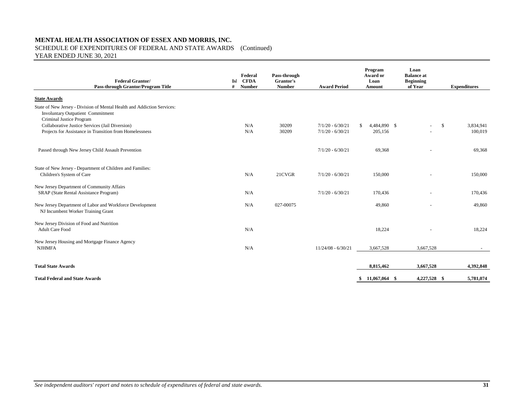#### **MENTAL HEALTH ASSOCIATION OF ESSEX AND MORRIS, INC.**

SCHEDULE OF EXPENDITURES OF FEDERAL AND STATE AWARDS (Continued) YEAR ENDED JUNE 30, 2021

| <b>Federal Grantor/</b><br>Pass-through Grantor/Program Title                                                                                                                                      | <b>Isl</b><br># | Federal<br><b>CFDA</b><br><b>Number</b> | Pass-through<br>Grantor's<br><b>Number</b> | <b>Award Period</b>  | Program<br>Award or<br>Loan<br>Amount | Loan<br><b>Balance</b> at<br><b>Beginning</b><br>of Year | <b>Expenditures</b> |
|----------------------------------------------------------------------------------------------------------------------------------------------------------------------------------------------------|-----------------|-----------------------------------------|--------------------------------------------|----------------------|---------------------------------------|----------------------------------------------------------|---------------------|
| <b>State Awards</b>                                                                                                                                                                                |                 |                                         |                                            |                      |                                       |                                                          |                     |
| State of New Jersey - Division of Mental Health and Addiction Services:<br><b>Involuntary Outpatient Commitment</b><br>Criminal Justice Program<br>Collaborative Justice Services (Jail Diversion) |                 | N/A                                     | 30209                                      | $7/1/20 - 6/30/21$   | 4,484,890 \$<br>-S                    | $\sim$                                                   | \$<br>3,834,941     |
| Projects for Assistance in Transition from Homelessness                                                                                                                                            |                 | N/A                                     | 30209                                      | $7/1/20 - 6/30/21$   | 205,156                               |                                                          | 100,019             |
| Passed through New Jersey Child Assault Prevention                                                                                                                                                 |                 |                                         |                                            | $7/1/20 - 6/30/21$   | 69,368                                |                                                          | 69,368              |
| State of New Jersey - Department of Children and Families:<br>Children's System of Care                                                                                                            |                 | N/A                                     | 21CVGR                                     | $7/1/20 - 6/30/21$   | 150,000                               |                                                          | 150,000             |
| New Jersey Department of Community Affairs<br>SRAP (State Rental Assistance Program)                                                                                                               |                 | N/A                                     |                                            | $7/1/20 - 6/30/21$   | 170,436                               |                                                          | 170,436             |
| New Jersey Department of Labor and Workforce Development<br>NJ Incumbent Worker Training Grant                                                                                                     |                 | N/A                                     | 027-00075                                  |                      | 49,860                                |                                                          | 49,860              |
| New Jersey Division of Food and Nutrition<br><b>Adult Care Food</b>                                                                                                                                |                 | N/A                                     |                                            |                      | 18,224                                |                                                          | 18,224              |
| New Jersey Housing and Mortgage Finance Agency<br><b>NJHMFA</b>                                                                                                                                    |                 | N/A                                     |                                            | $11/24/08 - 6/30/21$ | 3,667,528                             | 3,667,528                                                |                     |
| <b>Total State Awards</b>                                                                                                                                                                          |                 |                                         |                                            |                      | 8,815,462                             | 3,667,528                                                | 4,392,848           |
| <b>Total Federal and State Awards</b>                                                                                                                                                              |                 |                                         |                                            |                      | $$11,067,064$ \$                      | 4,227,528 \$                                             | 5,781,074           |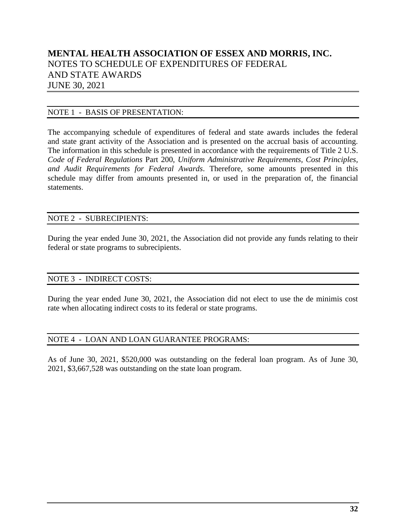# **MENTAL HEALTH ASSOCIATION OF ESSEX AND MORRIS, INC.**  NOTES TO SCHEDULE OF EXPENDITURES OF FEDERAL AND STATE AWARDS JUNE 30, 2021

### NOTE 1 - BASIS OF PRESENTATION:

The accompanying schedule of expenditures of federal and state awards includes the federal and state grant activity of the Association and is presented on the accrual basis of accounting. The information in this schedule is presented in accordance with the requirements of Title 2 U.S. *Code of Federal Regulations* Part 200, *Uniform Administrative Requirements, Cost Principles, and Audit Requirements for Federal Awards*. Therefore, some amounts presented in this schedule may differ from amounts presented in, or used in the preparation of, the financial statements.

# NOTE 2 - SUBRECIPIENTS:

During the year ended June 30, 2021, the Association did not provide any funds relating to their federal or state programs to subrecipients.

# NOTE 3 - INDIRECT COSTS:

During the year ended June 30, 2021, the Association did not elect to use the de minimis cost rate when allocating indirect costs to its federal or state programs.

### NOTE 4 - LOAN AND LOAN GUARANTEE PROGRAMS:

As of June 30, 2021, \$520,000 was outstanding on the federal loan program. As of June 30, 2021, \$3,667,528 was outstanding on the state loan program.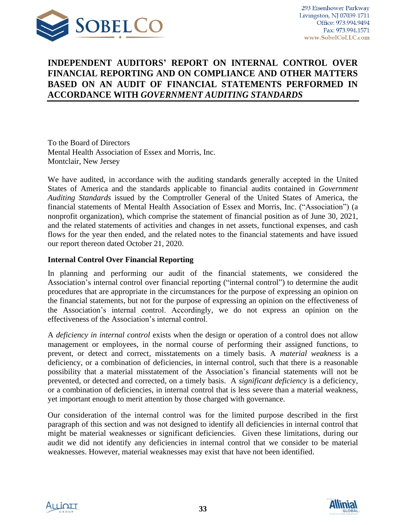

# **INDEPENDENT AUDITORS' REPORT ON INTERNAL CONTROL OVER FINANCIAL REPORTING AND ON COMPLIANCE AND OTHER MATTERS BASED ON AN AUDIT OF FINANCIAL STATEMENTS PERFORMED IN ACCORDANCE WITH** *GOVERNMENT AUDITING STANDARDS*

To the Board of Directors Mental Health Association of Essex and Morris, Inc. Montclair, New Jersey

We have audited, in accordance with the auditing standards generally accepted in the United States of America and the standards applicable to financial audits contained in *Government Auditing Standards* issued by the Comptroller General of the United States of America, the financial statements of Mental Health Association of Essex and Morris, Inc. ("Association") (a nonprofit organization), which comprise the statement of financial position as of June 30, 2021, and the related statements of activities and changes in net assets, functional expenses, and cash flows for the year then ended, and the related notes to the financial statements and have issued our report thereon dated October 21, 2020.

## **Internal Control Over Financial Reporting**

In planning and performing our audit of the financial statements, we considered the Association's internal control over financial reporting ("internal control") to determine the audit procedures that are appropriate in the circumstances for the purpose of expressing an opinion on the financial statements, but not for the purpose of expressing an opinion on the effectiveness of the Association's internal control. Accordingly, we do not express an opinion on the effectiveness of the Association's internal control.

A *deficiency in internal control* exists when the design or operation of a control does not allow management or employees, in the normal course of performing their assigned functions, to prevent, or detect and correct, misstatements on a timely basis. A *material weakness* is a deficiency, or a combination of deficiencies, in internal control, such that there is a reasonable possibility that a material misstatement of the Association's financial statements will not be prevented, or detected and corrected, on a timely basis. A *significant deficiency* is a deficiency, or a combination of deficiencies, in internal control that is less severe than a material weakness, yet important enough to merit attention by those charged with governance.

Our consideration of the internal control was for the limited purpose described in the first paragraph of this section and was not designed to identify all deficiencies in internal control that might be material weaknesses or significant deficiencies. Given these limitations, during our audit we did not identify any deficiencies in internal control that we consider to be material weaknesses. However, material weaknesses may exist that have not been identified.



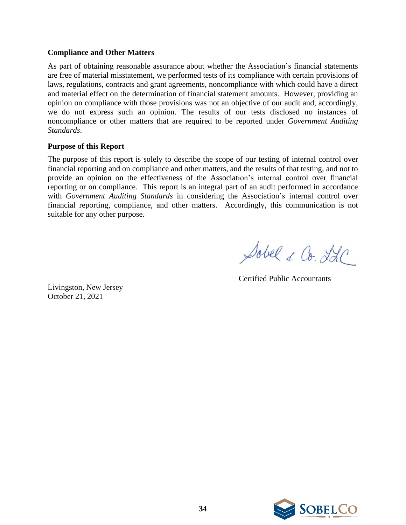### **Compliance and Other Matters**

As part of obtaining reasonable assurance about whether the Association's financial statements are free of material misstatement, we performed tests of its compliance with certain provisions of laws, regulations, contracts and grant agreements, noncompliance with which could have a direct and material effect on the determination of financial statement amounts. However, providing an opinion on compliance with those provisions was not an objective of our audit and, accordingly, we do not express such an opinion. The results of our tests disclosed no instances of noncompliance or other matters that are required to be reported under *Government Auditing Standards*.

### **Purpose of this Report**

The purpose of this report is solely to describe the scope of our testing of internal control over financial reporting and on compliance and other matters, and the results of that testing, and not to provide an opinion on the effectiveness of the Association's internal control over financial reporting or on compliance. This report is an integral part of an audit performed in accordance with *Government Auditing Standards* in considering the Association's internal control over financial reporting, compliance, and other matters. Accordingly, this communication is not suitable for any other purpose.

Sobel & Co. Id.C

Certified Public Accountants

Livingston, New Jersey October 21, 2021

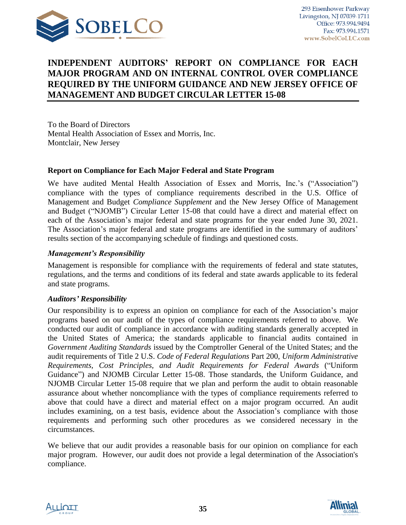

# **INDEPENDENT AUDITORS' REPORT ON COMPLIANCE FOR EACH MAJOR PROGRAM AND ON INTERNAL CONTROL OVER COMPLIANCE REQUIRED BY THE UNIFORM GUIDANCE AND NEW JERSEY OFFICE OF MANAGEMENT AND BUDGET CIRCULAR LETTER 15-08**

To the Board of Directors Mental Health Association of Essex and Morris, Inc. Montclair, New Jersey

### **Report on Compliance for Each Major Federal and State Program**

We have audited Mental Health Association of Essex and Morris, Inc.'s ("Association") compliance with the types of compliance requirements described in the U.S. Office of Management and Budget *Compliance Supplement* and the New Jersey Office of Management and Budget ("NJOMB") Circular Letter 15-08 that could have a direct and material effect on each of the Association's major federal and state programs for the year ended June 30, 2021. The Association's major federal and state programs are identified in the summary of auditors' results section of the accompanying schedule of findings and questioned costs.

#### *Management's Responsibility*

Management is responsible for compliance with the requirements of federal and state statutes, regulations, and the terms and conditions of its federal and state awards applicable to its federal and state programs.

### *Auditors' Responsibility*

Our responsibility is to express an opinion on compliance for each of the Association's major programs based on our audit of the types of compliance requirements referred to above. We conducted our audit of compliance in accordance with auditing standards generally accepted in the United States of America; the standards applicable to financial audits contained in *Government Auditing Standards* issued by the Comptroller General of the United States; and the audit requirements of Title 2 U.S. *Code of Federal Regulations* Part 200, *Uniform Administrative Requirements, Cost Principles, and Audit Requirements for Federal Awards* ("Uniform Guidance") and NJOMB Circular Letter 15-08. Those standards, the Uniform Guidance, and NJOMB Circular Letter 15-08 require that we plan and perform the audit to obtain reasonable assurance about whether noncompliance with the types of compliance requirements referred to above that could have a direct and material effect on a major program occurred. An audit includes examining, on a test basis, evidence about the Association's compliance with those requirements and performing such other procedures as we considered necessary in the circumstances.

We believe that our audit provides a reasonable basis for our opinion on compliance for each major program. However, our audit does not provide a legal determination of the Association's compliance.



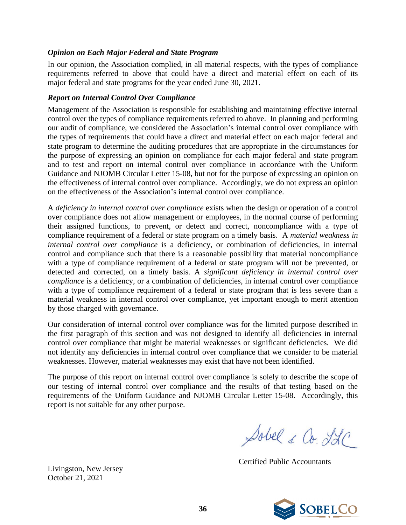### *Opinion on Each Major Federal and State Program*

In our opinion, the Association complied, in all material respects, with the types of compliance requirements referred to above that could have a direct and material effect on each of its major federal and state programs for the year ended June 30, 2021.

### *Report on Internal Control Over Compliance*

Management of the Association is responsible for establishing and maintaining effective internal control over the types of compliance requirements referred to above. In planning and performing our audit of compliance, we considered the Association's internal control over compliance with the types of requirements that could have a direct and material effect on each major federal and state program to determine the auditing procedures that are appropriate in the circumstances for the purpose of expressing an opinion on compliance for each major federal and state program and to test and report on internal control over compliance in accordance with the Uniform Guidance and NJOMB Circular Letter 15-08, but not for the purpose of expressing an opinion on the effectiveness of internal control over compliance. Accordingly, we do not express an opinion on the effectiveness of the Association's internal control over compliance.

A *deficiency in internal control over compliance* exists when the design or operation of a control over compliance does not allow management or employees, in the normal course of performing their assigned functions, to prevent, or detect and correct, noncompliance with a type of compliance requirement of a federal or state program on a timely basis. A *material weakness in internal control over compliance* is a deficiency, or combination of deficiencies, in internal control and compliance such that there is a reasonable possibility that material noncompliance with a type of compliance requirement of a federal or state program will not be prevented, or detected and corrected, on a timely basis. A *significant deficiency in internal control over compliance* is a deficiency, or a combination of deficiencies, in internal control over compliance with a type of compliance requirement of a federal or state program that is less severe than a material weakness in internal control over compliance, yet important enough to merit attention by those charged with governance.

Our consideration of internal control over compliance was for the limited purpose described in the first paragraph of this section and was not designed to identify all deficiencies in internal control over compliance that might be material weaknesses or significant deficiencies. We did not identify any deficiencies in internal control over compliance that we consider to be material weaknesses. However, material weaknesses may exist that have not been identified.

The purpose of this report on internal control over compliance is solely to describe the scope of our testing of internal control over compliance and the results of that testing based on the requirements of the Uniform Guidance and NJOMB Circular Letter 15-08. Accordingly, this report is not suitable for any other purpose.

Sobel & Co. Id.C

Certified Public Accountants

**SOBELCO** 

Livingston, New Jersey October 21, 2021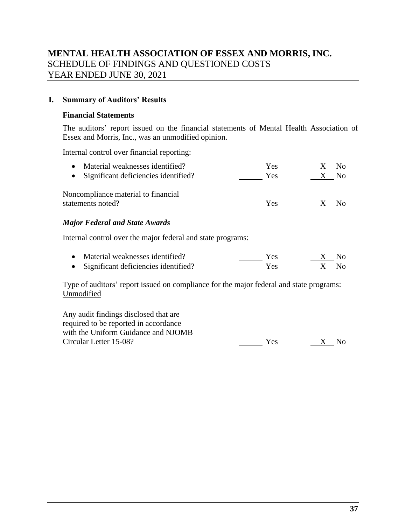# **I. Summary of Auditors' Results**

### **Financial Statements**

The auditors' report issued on the financial statements of Mental Health Association of Essex and Morris, Inc., was an unmodified opinion.

Internal control over financial reporting:

| Material weaknesses identified?                          | Yes | No. |
|----------------------------------------------------------|-----|-----|
| $\bullet$ Significant deficiencies identified?           | Yes | No. |
| Noncompliance material to financial<br>statements noted? | Yes | No. |

### *Major Federal and State Awards*

Internal control over the major federal and state programs:

| • Material weaknesses identified?      | Yes | - No |
|----------------------------------------|-----|------|
| • Significant deficiencies identified? | Yes | - No |

Type of auditors' report issued on compliance for the major federal and state programs: Unmodified

Any audit findings disclosed that are required to be reported in accordance with the Uniform Guidance and NJOMB Circular Letter 15-08?  $Y$ es  $X$  No